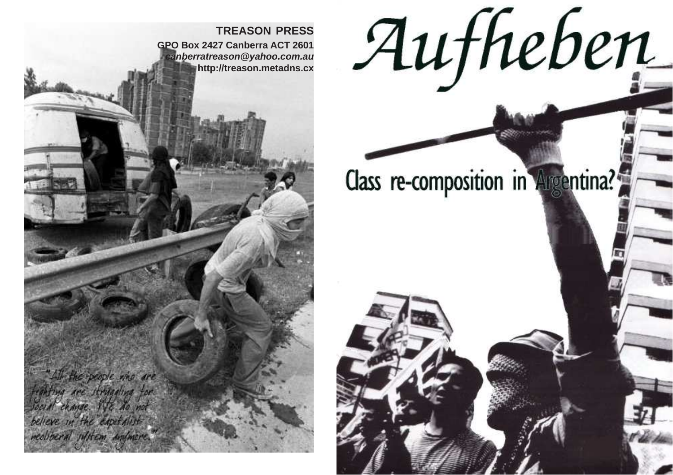

# Aufheben

# Class re-composition in Argentina?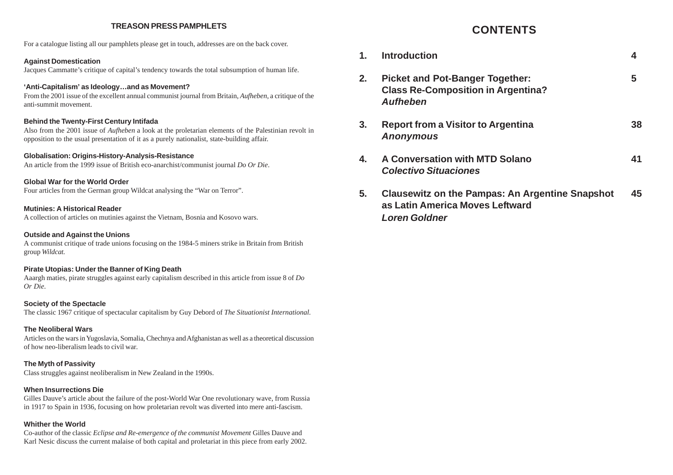# **TREASON PRESS PAMPHLETS**

For a catalogue listing all our pamphlets please get in touch, addresses are on the back cover.

# **Against Domestication**

Jacques Cammatte's critique of capital's tendency towards the total subsumption of human life.

# **'Anti-Capitalism' as Ideology…and as Movement?**

From the 2001 issue of the excellent annual communist journal from Britain, *Aufheben*, a critique of the anti-summit movement.

# **Behind the Twenty-First Century Intifada**

Also from the 2001 issue of *Aufheben* a look at the proletarian elements of the Palestinian revolt in opposition to the usual presentation of it as a purely nationalist, state-building affair.

# **Globalisation: Origins-History-Analysis-Resistance**

An article from the 1999 issue of British eco-anarchist/communist journal *Do Or Die*.

# **Global War for the World Order**

Four articles from the German group Wildcat analysing the "War on Terror".

# **Mutinies: A Historical Reader**

A collection of articles on mutinies against the Vietnam, Bosnia and Kosovo wars.

# **Outside and Against the Unions**

A communist critique of trade unions focusing on the 1984-5 miners strike in Britain from British group *Wildcat*.

# **Pirate Utopias: Under the Banner of King Death**

Aaargh maties, pirate struggles against early capitalism described in this article from issue 8 of *Do Or Die*.

# **Society of the Spectacle**

The classic 1967 critique of spectacular capitalism by Guy Debord of *The Situationist International.*

# **The Neoliberal Wars**

Articles on the wars in Yugoslavia, Somalia, Chechnya and Afghanistan as well as a theoretical discussion of how neo-liberalism leads to civil war.

# **The Myth of Passivity**

Class struggles against neoliberalism in New Zealand in the 1990s.

# **When Insurrections Die**

Gilles Dauve's article about the failure of the post-World War One revolutionary wave, from Russia in 1917 to Spain in 1936, focusing on how proletarian revolt was diverted into mere anti-fascism.

# **Whither the World**

Co-author of the classic *Eclipse and Re-emergence of the communist Movement* Gilles Dauve and Karl Nesic discuss the current malaise of both capital and proletariat in this piece from early 2002.

# **CONTENTS**

**1. Introduction 4 2. Picket and Pot-Banger Together: 5 Class Re-Composition in Argentina? Aufheben 3. Report from a Visitor to Argentina 38 Anonymous 4. A Conversation with MTD Solano 41 Colectivo Situaciones 5. Clausewitz on the Pampas: An Argentine Snapshot 45 as Latin America Moves Leftward**

**Loren Goldner**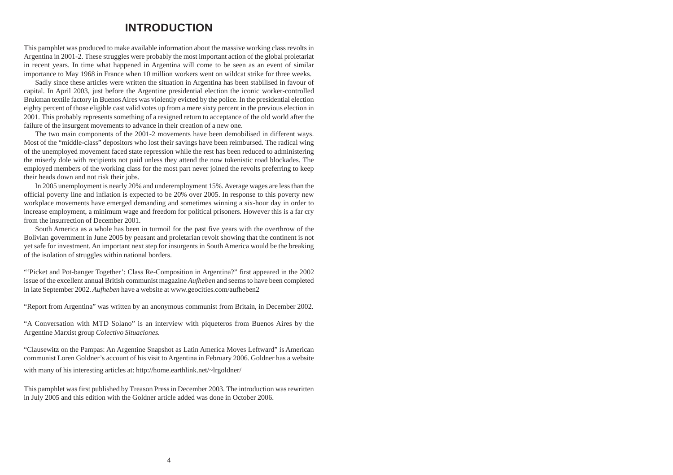# **INTRODUCTION**

This pamphlet was produced to make available information about the massive working class revolts in Argentina in 2001-2. These struggles were probably the most important action of the global proletariat in recent years. In time what happened in Argentina will come to be seen as an event of similar importance to May 1968 in France when 10 million workers went on wildcat strike for three weeks.

Sadly since these articles were written the situation in Argentina has been stabilised in favour of capital. In April 2003, just before the Argentine presidential election the iconic worker-controlled Brukman textile factory in Buenos Aires was violently evicted by the police. In the presidential election eighty percent of those eligible cast valid votes up from a mere sixty percent in the previous election in 2001. This probably represents something of a resigned return to acceptance of the old world after the failure of the insurgent movements to advance in their creation of a new one.

The two main components of the 2001-2 movements have been demobilised in different ways. Most of the "middle-class" depositors who lost their savings have been reimbursed. The radical wing of the unemployed movement faced state repression while the rest has been reduced to administering the miserly dole with recipients not paid unless they attend the now tokenistic road blockades. The employed members of the working class for the most part never joined the revolts preferring to keep their heads down and not risk their jobs.

In 2005 unemployment is nearly 20% and underemployment 15%. Average wages are less than the official poverty line and inflation is expected to be 20% over 2005. In response to this poverty new workplace movements have emerged demanding and sometimes winning a six-hour day in order to increase employment, a minimum wage and freedom for political prisoners. However this is a far cry from the insurrection of December 2001.

South America as a whole has been in turmoil for the past five years with the overthrow of the Bolivian government in June 2005 by peasant and proletarian revolt showing that the continent is not yet safe for investment. An important next step for insurgents in South America would be the breaking of the isolation of struggles within national borders.

"'Picket and Pot-banger Together': Class Re-Composition in Argentina?" first appeared in the 2002 issue of the excellent annual British communist magazine *Aufheben* and seems to have been completed in late September 2002. *Aufheben* have a website at www.geocities.com/aufheben2

"Report from Argentina" was written by an anonymous communist from Britain, in December 2002.

"A Conversation with MTD Solano" is an interview with piqueteros from Buenos Aires by the Argentine Marxist group *Colectivo Situaciones.*

"Clausewitz on the Pampas: An Argentine Snapshot as Latin America Moves Leftward" is American communist Loren Goldner's account of his visit to Argentina in February 2006. Goldner has a website

with many of his interesting articles at: http://home.earthlink.net/~lrgoldner/

This pamphlet was first published by Treason Press in December 2003. The introduction was rewritten in July 2005 and this edition with the Goldner article added was done in October 2006.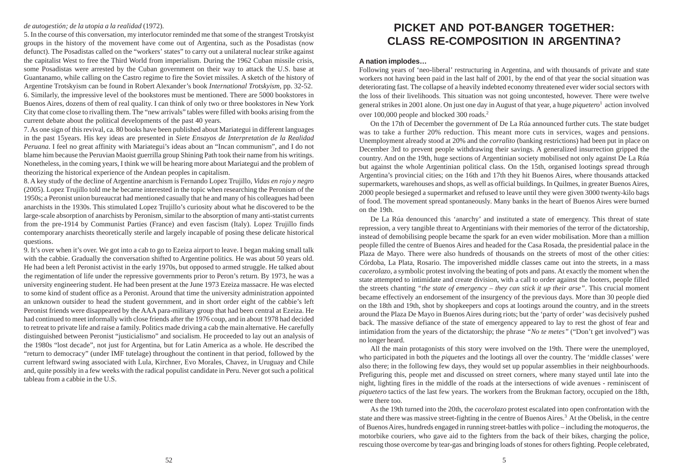# *de autogestión; de la utopia a la realidad* (1972).

5. In the course of this conversation, my interlocutor reminded me that some of the strangest Trotskyist groups in the history of the movement have come out of Argentina, such as the Posadistas (now defunct). The Posadistas called on the "workers' states" to carry out a unilateral nuclear strike against the capitalist West to free the Third World from imperialism. During the 1962 Cuban missile crisis, some Posadistas were arrested by the Cuban government on their way to attack the U.S. base at Guantanamo, while calling on the Castro regime to fire the Soviet missiles. A sketch of the history of Argentine Trotskyism can be found in Robert Alexander's book *International Trotskyism*, pp. 32-52. 6. Similarly, the impressive level of the bookstores must be mentioned. There are 5000 bookstores in Buenos Aires, dozens of them of real quality. I can think of only two or three bookstores in New York City that come close to rivalling them. The "new arrivals" tables were filled with books arising from the current debate about the political developments of the past 40 years.

7.As one sign of this revival, ca. 80 books have been published about Mariategui in different languages in the past 15years. His key ideas are presented in *Siete Ensayos de Interpretation de la Realidad Peruana*. I feel no great affinity with Mariategui's ideas about an "Incan communism", and I do not blame him because the Peruvian Maoist guerrilla group Shining Path took their name from his writings. Nonetheless, in the coming years, I think we will be hearing more about Mariategui and the problem of theorizing the historical experience of the Andean peoples in capitalism.

8. A key study of the decline of Argentine anarchism is Fernando Lopez Trujillo, *Vidas en rojo y negro* (2005). Lopez Trujillo told me he became interested in the topic when researching the Peronism of the 1950s; a Peronist union bureaucrat had mentioned casually that he and many of his colleagues had been anarchists in the 1930s. This stimulated Lopez Trujillo's curiosity about what he discovered to be the large-scale absorption of anarchists by Peronism, similar to the absorption of many anti-statist currents from the pre-1914 by Communist Parties (France) and even fascism (Italy). Lopez Trujillo finds contemporary anarchists theoretically sterile and largely incapable of posing these delicate historical questions.

9. It's over when it's over. We got into a cab to go to Ezeiza airport to leave. I began making small talk with the cabbie. Gradually the conversation shifted to Argentine politics. He was about 50 years old. He had been a left Peronist activist in the early 1970s, but opposed to armed struggle. He talked about the regimentation of life under the repressive governments prior to Peron's return. By 1973, he was a university engineering student. He had been present at the June 1973 Ezeiza massacre. He was elected to some kind of student office as a Peronist. Around that time the university administration appointed an unknown outsider to head the student government, and in short order eight of the cabbie's left Peronist friends were disappeared by the AAA para-military group that had been central at Ezeiza. He had continued to meet informally with close friends after the 1976 coup, and in about 1978 had decided to retreat to private life and raise a family. Politics made driving a cab the main alternative. He carefully distinguished between Peronist "justicialismo" and socialism. He proceeded to lay out an analysis of the 1980s "lost decade", not just for Argentina, but for Latin America as a whole. He described the "return to democracy" (under IMF tutelage) throughout the continent in that period, followed by the current leftward swing associated with Lula, Kirchner, Evo Morales, Chavez, in Uruguay and Chile and, quite possibly in a few weeks with the radical populist candidate in Peru. Never got such a political tableau from a cabbie in the U.S.

# **PICKET AND POT-BANGER TOGETHER: CLASS RE-COMPOSITION IN ARGENTINA?**

# **A nation implodes…**

Following years of 'neo-liberal' restructuring in Argentina, and with thousands of private and state workers not having been paid in the last half of 2001, by the end of that year the social situation was deteriorating fast. The collapse of a heavily indebted economy threatened ever wider social sectors with the loss of their livelihoods. This situation was not going uncontested, however. There were twelve general strikes in 2001 alone. On just one day in August of that year, a huge *piquetero* <sup>1</sup> action involved over 100,000 people and blocked 300 roads. 2

On the 17th of December the government of De La Rúa announced further cuts. The state budget was to take a further 20% reduction. This meant more cuts in services, wages and pensions. Unemployment already stood at 20% and the *corralito* (banking restrictions) had been put in place on December 3rd to prevent people withdrawing their savings. A generalized insurrection gripped the country. And on the 19th, huge sections of Argentinian society mobilised not only against De La Rúa but against the whole Argentinian political class. On the 15th, organised lootings spread through Argentina's provincial cities; on the 16th and 17th they hit Buenos Aires, where thousands attacked supermarkets, warehouses and shops, as well as official buildings. In Quilmes, in greater Buenos Aires, 2000 people besieged a supermarket and refused to leave until they were given 3000 twenty-kilo bags of food. The movement spread spontaneously. Many banks in the heart of Buenos Aires were burned on the 19th.

De La Rúa denounced this 'anarchy' and instituted a state of emergency. This threat of state repression, a very tangible threat to Argentinians with their memories of the terror of the dictatorship, instead of demobilising people became the spark for an even wider mobilisation. More than a million people filled the centre of Buenos Aires and headed for the Casa Rosada, the presidential palace in the Plaza de Mayo. There were also hundreds of thousands on the streets of most of the other cities: Córdoba, La Plata, Rosario. The impoverished middle classes came out into the streets, in a mass *cacerolazo*, a symbolic protest involving the beating of pots and pans. At exactly the moment when the state attempted to intimidate and create division, with a call to order against the looters, people filled the streets chanting *"the state of emergency – they can stick it up their arse"*. This crucial moment became effectively an endorsement of the insurgency of the previous days. More than 30 people died on the 18th and 19th, shot by shopkeepers and cops at lootings around the country, and in the streets around the Plaza De Mayo in Buenos Aires during riots; but the 'party of order' was decisively pushed back. The massive defiance of the state of emergency appeared to lay to rest the ghost of fear and intimidation from the years of the dictatorship; the phrase *"No te metes"* ("Don't get involved") was no longer heard.

All the main protagonists of this story were involved on the 19th. There were the unemployed, who participated in both the *piquetes* and the lootings all over the country. The 'middle classes' were also there; in the following few days, they would set up popular assemblies in their neighbourhoods. Prefiguring this, people met and discussed on street corners, where many stayed until late into the night, lighting fires in the middle of the roads at the intersections of wide avenues - reminiscent of *piquetero* tactics of the last few years. The workers from the Brukman factory, occupied on the 18th, were there too.

As the 19th turned into the 20th, the *cacerolazo* protest escalated into open confrontation with the state and there was massive street-fighting in the centre of Buenos Aires. <sup>3</sup> At the Obelisk, in the centre of Buenos Aires, hundreds engaged in running street-battles with police – including the *motoqueros*, the motorbike couriers, who gave aid to the fighters from the back of their bikes, charging the police, rescuing those overcome by tear-gas and bringing loads of stones for others fighting. People celebrated,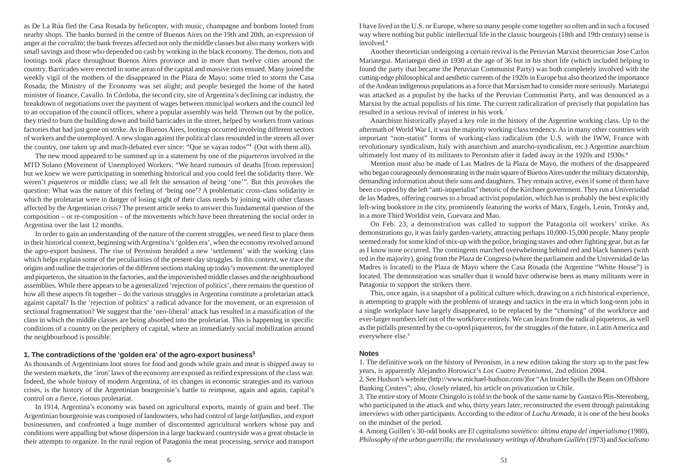as De La Rúa fled the Casa Rosada by helicopter, with music, champagne and bonbons looted from nearby shops. The banks burned in the centre of Buenos Aires on the 19th and 20th, an expression of anger at the *corralito*; the bank freezes affected not only the middle classes but also many workers with small savings and those who depended on cash by working in the black economy. The demos, riots and lootings took place throughout Buenos Aires province and in more than twelve cities around the country. Barricades were erected in some areas of the capital and massive riots ensued. Many joined the weekly vigil of the mothers of the disappeared in the Plaza de Mayo; some tried to storm the Casa Rosada; the Ministry of the Economy was set alight; and people besieged the home of the hated minister of finance, Cavallo. In Córdoba, the second city, site of Argentina's declining car industry, the breakdown of negotiations over the payment of wages between municipal workers and the council led to an occupation of the council offices, where a popular assembly was held. Thrown out by the police, they tried to burn the building down and build barricades in the street, helped by workers from various factories that had just gone on strike. As in Buenos Aires, lootings occurred involving different sectors of workers and the unemployed. A new slogan against the political class resounded in the streets all over the country, one taken up and much-debated ever since: "Que se vayan todos" <sup>4</sup> (Out with them all).

The new mood appeared to be summed up in a statement by one of the *piqueteros* involved in the MTD Solano (Movement of Unemployed Workers: "We heard rumours of deaths [from repression] but we knew we were participating in something historical and you could feel the solidarity there. We weren't *piqueteros* or middle class; we all felt the sensation of being 'one'". But this provokes the question: What was the nature of this feeling of 'being one'? A problematic cross-class solidarity in which the proletariat were in danger of losing sight of their class needs by joining with other classes affected by the Argentinian crisis? The present article seeks to answer this fundamental question of the composition – or re-composition – of the movements which have been threatening the social order in Argentina over the last 12 months.

In order to gain an understanding of the nature of the current struggles, we need first to place them in their historical context, beginning with Argentina's 'golden era', when the economy revolved around the agro-export business. The rise of Peronism heralded a new 'settlement' with the working class which helps explain some of the peculiarities of the present-day struggles. In this context, we trace the origins and outline the trajectories of the different sections making up today's movement: the unemployed and piqueteros, the situation in the factories, and the impoverished middle classes and the neighbourhood assemblies. While there appears to be a generalized 'rejection of politics', there remains the question of how all these aspects fit together – do the various struggles in Argentina constitute a proletarian attack against capital? Is the 'rejection of politics' a radical advance for the movement, or an expression of sectional fragmentation? We suggest that the 'neo-liberal' attack has resulted in a massification of the class in which the middle classes are being absorbed into the proletariat. This is happening in specific conditions of a country on the periphery of capital, where an immediately social mobilization around the neighbourhood is possible.

# **1. The contradictions of the 'golden era' of the agro-export business 5**

As thousands of Argentinians loot stores for food and goods while grain and meat is shipped away to the western markets, the 'iron' laws of the economy are exposed as reified expressions of the class war. Indeed, the whole history of modern Argentina, of its changes in economic strategies and its various crises, is the history of the Argentinian bourgeoisie's battle to reimpose, again and again, capital's control on a fierce, riotous proletariat.

In 1914, Argentina's economy was based on agricultural exports, mainly of grain and beef. The Argentinian bourgeoisie was composed of landowners, who had control of large *latifundias*, and export businessmen, and confronted a huge number of discontented agricultural workers whose pay and conditions were appalling but whose dispersion in a large backward countryside was a great obstacle in their attempts to organize. In the rural region of Patagonia the meat processing, service and transport I have lived in the U.S. or Europe, where so many people come together so often and in such a focused way where nothing but public intellectual life in the classic bourgeois (18th and 19th century) sense is involved. 6

Another theoretician undergoing a certain revival is the Peruvian Marxist theoretician Jose Carlos Mariategui. Mariategui died in 1930 at the age of 36 but in his short life (which included helping to found the party that became the Peruvian Communist Party) was both completely involved with the cutting-edge philosophical and aesthetic currents of the 1920s in Europe but also theorized the importance of the Andean indigenous populations as a force that Marxism had to consider more seriously. Mariategui was attacked as a populist by the hacks of the Peruvian Communist Party, and was denounced as a Marxist by the actual populists of his time. The current radicalization of precisely that population has resulted in a serious revival of interest in his work. 7

Anarchism historically played a key role in the history of the Argentine working class. Up to the aftermath of World War I, it was the majority working-class tendency. As in many other countries with important "non-statist" forms of working-class radicalism (the U.S. with the IWW, France with revolutionary syndicalism, Italy with anarchism and anarcho-syndicalism, etc.) Argentine anarchism ultimately lost many of its militants to Peronism after it faded away in the 1920s and 1930s. 8

Mention must also be made of Las Madres de la Plaza de Mayo, the mothers of the disappeared who began courageously demonstrating in the main square of Buenos Aires under the military dictatorship, demanding information about their sons and daughters. They remain active, even if some of them have been co-opted by the left "anti-imperialist" rhetoric of the Kirchner government. They run a Universidad de las Madres, offering courses to a broad activist population, which has is probably the best explicitly left-wing bookstore in the city, prominently featuring the works of Marx, Engels, Lenin, Trotsky and, in a more Third Worldist vein, Guevara and Mao.

On Feb. 23, a demonstration was called to support the Patagonia oil workers' strike. As demonstrations go, it was fairly garden-variety, attracting perhaps 10,000-15,000 people. Many people seemed ready for some kind of mix-up with the police, bringing staves and other fighting gear, but as far as I know none occurred. The contingents marched overwhelming behind red and black banners (with red in the majority), going from the Plaza de Congreso (where the parliament and the Universidad de las Madres is located) to the Plaza de Mayo where the Casa Rosada (the Argentine "White House") is located. The demonstration was smaller than it would have otherwise been as many militants were in Patagonia to support the strikers there.

This, once again, is a snapshot of a political culture which, drawing on a rich historical experience, is attempting to grapple with the problems of strategy and tactics in the era in which long-term jobs in a single workplace have largely disappeared, to be replaced by the "churning" of the workforce and ever-larger numbers left out of the workforce entirely. We can learn from the radical piqueteros, as well as the pitfalls presented by the co-opted piqueteros, for the struggles of the future, in Latin America and everywhere else. 9

## **Notes**

1. The definitive work on the history of Peronism, in a new edition taking the story up to the past few years, is apparently Alejandro Horowicz's *Los Cuatro Peronismos*, 2nd edition 2004.

2. See Hudson's website (http://www.michael-hudson.com/)for "An Insider Spills the Beans on Offshore Banking Centers"; also, closely related, his article on privatization in Chile.

3. The entire story of Monte Chingolo is told in the book of the same name by Gustavo Plis-Sterenberg, who participated in the attack and who, thirty years later, reconstructed the event through painstaking interviews with other participants. According to the editor of *Lucha Armada*, it is one of the best books on the mindset of the period.

4. Among Guillen's 30-odd books are *El capitalismo soviético: última etapa del imperialismo* (1980), *Philosophy of the urban guerrilla; the revolutionary writings of Abraham Guillén* (1973) and *Socialismo*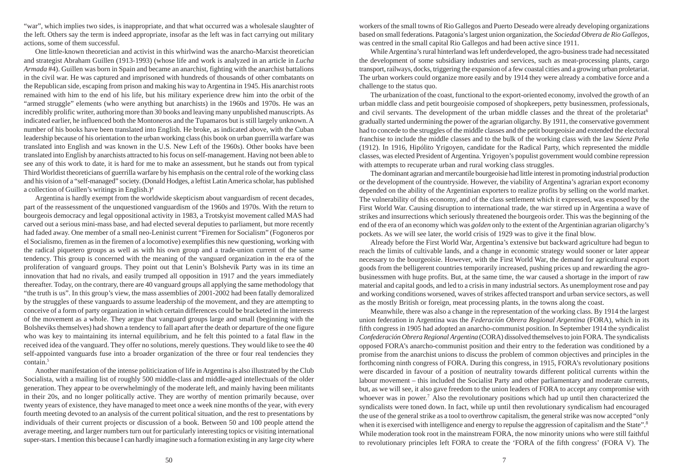"war", which implies two sides, is inappropriate, and that what occurred was a wholesale slaughter of the left. Others say the term is indeed appropriate, insofar as the left was in fact carrying out military actions, some of them successful.

One little-known theoretician and activist in this whirlwind was the anarcho-Marxist theoretician and strategist Abraham Guillen (1913-1993) (whose life and work is analyzed in an article in *Lucha Armada* #4). Guillen was born in Spain and became an anarchist, fighting with the anarchist battalions in the civil war. He was captured and imprisoned with hundreds of thousands of other combatants on the Republican side, escaping from prison and making his way to Argentina in 1945. His anarchist roots remained with him to the end of his life, but his military experience drew him into the orbit of the "armed struggle" elements (who were anything but anarchists) in the 1960s and 1970s. He was an incredibly prolific writer, authoring more than 30 books and leaving many unpublished manuscripts. As indicated earlier, he influenced both the Montoneros and the Tupamaros but is still largely unknown. A number of his books have been translated into English. He broke, as indicated above, with the Cuban leadership because of his orientation to the urban working class (his book on urban guerrilla warfare was translated into English and was known in the U.S. New Left of the 1960s). Other books have been translated into English by anarchists attracted to his focus on self-management. Having not been able to see any of this work to date, it is hard for me to make an assessment, but he stands out from typical Third Worldist theoreticians of guerrilla warfare by his emphasis on the central role of the working class and his vision of a "self-managed" society. (Donald Hodges, a leftist Latin America scholar, has published a collection of Guillen's writings in English.) 4

Argentina is hardly exempt from the worldwide skepticism about vanguardism of recent decades, part of the reassessment of the unquestioned vanguardism of the 1960s and 1970s. With the return to bourgeois democracy and legal oppositional activity in 1983, a Trotskyist movement called MAS had carved out a serious mini-mass base, and had elected several deputies to parliament, but more recently had faded away. One member of a small neo-Leninist current "Firemen for Socialism" (Fogoneros por el Socialismo, firemen as in the firemen of a locomotive) exemplifies this new questioning, working with the radical piquetero groups as well as with his own group and a trade-union current of the same tendency. This group is concerned with the meaning of the vanguard organization in the era of the proliferation of vanguard groups. They point out that Lenin's Bolshevik Party was in its time an innovation that had no rivals, and easily trumped all opposition in 1917 and the years immediately thereafter. Today, on the contrary, there are 40 vanguard groups all applying the same methodology that "the truth is us". In this group's view, the mass assemblies of 2001-2002 had been fatally demoralized by the struggles of these vanguards to assume leadership of the movement, and they are attempting to conceive of a form of party organization in which certain differences could be bracketed in the interests of the movement as a whole. They argue that vanguard groups large and small (beginning with the Bolsheviks themselves) had shown a tendency to fall apart after the death or departure of the one figure who was key to maintaining its internal equilibrium, and he felt this pointed to a fatal flaw in the received idea of the vanguard. They offer no solutions, merely questions. They would like to see the 40 self-appointed vanguards fuse into a broader organization of the three or four real tendencies they contain. 5

Another manifestation of the intense politicization of life in Argentina is also illustrated by the Club Socialista, with a mailing list of roughly 500 middle-class and middle-aged intellectuals of the older generation. They appear to be overwhelmingly of the moderate left, and mainly having been militants in their 20s, and no longer politically active. They are worthy of mention primarily because, over twenty years of existence, they have managed to meet once a week nine months of the year, with every fourth meeting devoted to an analysis of the current political situation, and the rest to presentations by individuals of their current projects or discussion of a book. Between 50 and 100 people attend the average meeting, and larger numbers turn out for particularly interesting topics or visiting international super-stars. I mention this because I can hardly imagine such a formation existing in any large city where workers of the small towns of Rio Gallegos and Puerto Deseado were already developing organizations based on small federations. Patagonia's largest union organization, the *Sociedad Obrera de Rio Gallegos*, was centred in the small capital Rio Gallegos and had been active since 1911.

While Argentina's rural hinterland was left underdeveloped, the agro-business trade had necessitated the development of some subsidiary industries and services, such as meat-processing plants, cargo transport, railways, docks, triggering the expansion of a few coastal cities and a growing urban proletariat. The urban workers could organize more easily and by 1914 they were already a combative force and a challenge to the status quo.

The urbanization of the coast, functional to the export-oriented economy, involved the growth of an urban middle class and petit bourgeoisie composed of shopkeepers, petty businessmen, professionals, and civil servants. The development of the urban middle classes and the threat of the proletariat<sup>6</sup> gradually started undermining the power of the agrarian oligarchy. By 1911, the conservative government had to concede to the struggles of the middle classes and the petit bourgeoisie and extended the electoral franchise to include the middle classes and to the bulk of the working class with the law *Sáenz Peña* (1912). In 1916, Hipólito Yrigoyen, candidate for the Radical Party, which represented the middle classes, was elected President of Argentina. Yrigoyen's populist government would combine repression with attempts to recuperate urban and rural working class struggles.

The dominant agrarian and mercantile bourgeoisie had little interest in promoting industrial production or the development of the countryside. However, the viability of Argentina's agrarian export economy depended on the ability of the Argentinian exporters to realize profits by selling on the world market. The vulnerability of this economy, and of the class settlement which it expressed, was exposed by the First World War. Causing disruption to international trade, the war stirred up in Argentina a wave of strikes and insurrections which seriously threatened the bourgeois order. This was the beginning of the end of the era of an economy which was *golden* only to the extent of the Argentinian agrarian oligarchy's pockets. As we will see later, the world crisis of 1929 was to give it the final blow.

Already before the First World War, Argentina's extensive but backward agriculture had begun to reach the limits of cultivable lands, and a change in economic strategy would sooner or later appear necessary to the bourgeoisie. However, with the First World War, the demand for agricultural export goods from the belligerent countries temporarily increased, pushing prices up and rewarding the agrobusinessmen with huge profits. But, at the same time, the war caused a shortage in the import of raw material and capital goods, and led to a crisis in many industrial sectors. As unemployment rose and pay and working conditions worsened, waves of strikes affected transport and urban service sectors, as well as the mostly British or foreign, meat processing plants, in the towns along the coast.

Meanwhile, there was also a change in the representation of the working class. By 1914 the largest union federation in Argentina was the *Federación Obrera Regional Argentina* (FORA), which in its fifth congress in 1905 had adopted an anarcho-communist position. In September 1914 the syndicalist *Confederación Obrera Regional Argentina* (CORA) dissolved themselves to join FORA. The syndicalists opposed FORA's anarcho-communist position and their entry to the federation was conditioned by a promise from the anarchist unions to discuss the problem of common objectives and principles in the forthcoming ninth congress of FORA. During this congress, in 1915, FORA's revolutionary positions were discarded in favour of a position of neutrality towards different political currents within the labour movement – this included the Socialist Party and other parliamentary and moderate currents, but, as we will see, it also gave freedom to the union leaders of FORA to accept any compromise with whoever was in power.<sup>7</sup> Also the revolutionary positions which had up until then characterized the syndicalists were toned down. In fact, while up until then revolutionary syndicalism had encouraged the use of the general strike as a tool to overthrow capitalism, the general strike was now accepted "only when it is exercised with intelligence and energy to repulse the aggression of capitalism and the State".<sup>8</sup> While moderation took root in the mainstream FORA, the now minority unions who were still faithful to revolutionary principles left FORA to create the 'FORA of the fifth congress' (FORA V). The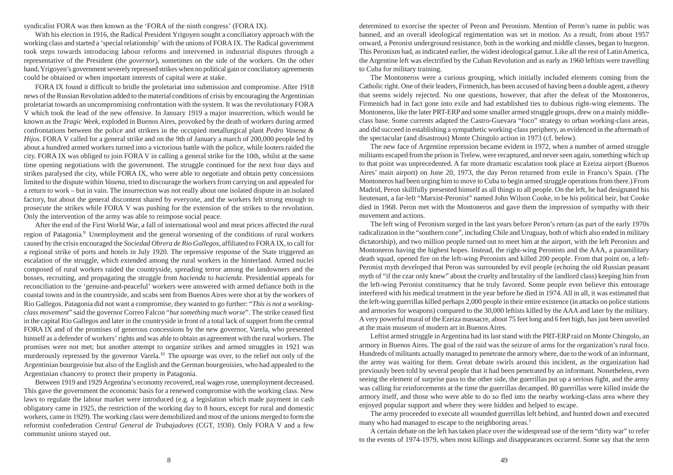syndicalist FORA was then known as the 'FORA of the ninth congress' (FORA IX).

With his election in 1916, the Radical President Yrigoyen sought a conciliatory approach with the working class and started a 'special relationship' with the unions of FORA IX. The Radical government took steps towards introducing labour reforms and intervened in industrial disputes through a representative of the President (the *governor*), sometimes on the side of the workers. On the other hand, Yrigoyen's government severely repressed strikes when no political gain or conciliatory agreements could be obtained or when important interests of capital were at stake.

FORA IX found it difficult to bridle the proletariat into submission and compromise. After 1918 news of the Russian Revolution added to the material conditions of crisis by encouraging the Argentinian proletariat towards an uncompromising confrontation with the system. It was the revolutionary FORA V which took the lead of the new offensive. In January 1919 a major insurrection, which would be known as the *Tragic Week*, exploded in Buenos Aires, provoked by the death of workers during armed confrontations between the police and strikers in the occupied metallurgical plant *Pedro Vasena & Hijos*. FORA V called for a general strike and on the 9th of January a march of 200,000 people led by about a hundred armed workers turned into a victorious battle with the police, while looters raided the city. FORA IX was obliged to join FORA V in calling a general strike for the 10th, whilst at the same time opening negotiations with the government. The struggle continued for the next four days and strikes paralysed the city, while FORA IX, who were able to negotiate and obtain petty concessions limited to the dispute within *Vasena*, tried to discourage the workers from carrying on and appealed for a return to work – but in vain. The insurrection was not really about one isolated dispute in an isolated factory, but about the general discontent shared by everyone, and the workers felt strong enough to prosecute the strikes while FORA V was pushing for the extension of the strikes to the revolution. Only the intervention of the army was able to reimpose social peace.

After the end of the First World War, a fall of international wool and meat prices affected the rural region of Patagonia. <sup>9</sup> Unemployment and the general worsening of the conditions of rural workers caused by the crisis encouraged the *Sociedad Obrera de Rio Gallegos*, affiliated to FORA IX, to call for a regional strike of ports and hotels in July 1920. The repressive response of the State triggered an escalation of the struggle, which extended among the rural workers in the hinterland. Armed nuclei composed of rural workers raided the countryside, spreading terror among the landowners and the bosses, recruiting, and propagating the struggle from *hacienda* to *hacienda*. Presidential appeals for reconciliation to the 'genuine-and-peaceful' workers were answered with armed defiance both in the coastal towns and in the countryside, and scabs sent from Buenos Aires were shot at by the workers of Rio Gallegos. Patagonia did not want a compromise, they wanted to go further: "*This is not a workingclass movement*" said the governor Correo Falcon "*but something much worse*". The strike ceased first in the capital Rio Gallegos and later in the countryside in front of a total lack of support from the central FORA IX and of the promises of generous concessions by the new governor, Varela, who presented himself as a defender of workers' rights and was able to obtain an agreement with the rural workers. The promises were not met; but another attempt to organize strikes and armed struggles in 1921 was murderously repressed by the governor Varela.<sup>10</sup> The upsurge was over, to the relief not only of the Argentinian bourgeoisie but also of the English and the German bourgeoisies, who had appealed to the Argentinian chancery to protect their property in Patagonia.

Between 1919 and 1929 Argentina's economy recovered, real wages rose, unemployment decreased. This gave the government the economic basis for a renewed compromise with the working class. New laws to regulate the labour market were introduced (e.g. a legislation which made payment in cash obligatory came in 1925, the restriction of the working day to 8 hours, except for rural and domestic workers, came in 1929). The working class were demobilized and most of the unions merged to form the reformist confederation *Central General de Trabajadores* (CGT, 1930). Only FORA V and a few communist unions stayed out.

determined to exorcise the specter of Peron and Peronism. Mention of Peron's name in public was banned, and an overall ideological regimentation was set in motion. As a result, from about 1957 onward, a Peronist underground resistance, both in the working and middle classes, began to burgeon. This Peronism had, as indicated earlier, the widest ideological gamut. Like all the rest of Latin America, the Argentine left was electrified by the Cuban Revolution and as early as 1960 leftists were travelling to Cuba for military training.

The Montoneros were a curious grouping, which initially included elements coming from the Catholic right. One of their leaders, Firmenich, has been accused of having been a double agent, a theory that seems widely rejected. No one questions, however, that after the defeat of the Montoneros, Firmenich had in fact gone into exile and had established ties to dubious right-wing elements. The Montoneros, like the later PRT-ERP and some smaller armed struggle groups, drew on a mainly middleclass base. Some currents adapted the Castro-Guevara "foco" strategy to urban working-class areas, and did succeed in establishing a sympathetic working-class periphery, as evidenced in the aftermath of the spectacular (and disastrous) Monte Chingolo action in 1973 (cf. below).

The new face of Argentine repression became evident in 1972, when a number of armed struggle militants escaped from the prison in Trelew, were recaptured, and never seen again, something which up to that point was unprecedented. A far more dramatic escalation took place at Ezeiza airport (Buenos Aires' main airport) on June 20, 1973, the day Peron returned from exile in Franco's Spain. (The Montoneros had been urging him to move to Cuba to begin armed struggle operations from there.) From Madrid, Peron skillfully presented himself as all things to all people. On the left, he had designated his lieutenant, a far-left "Marxist-Peronist" named John Wilson Cooke, to be his political heir, but Cooke died in 1968. Peron met with the Montoneros and gave them the impression of sympathy with their movement and actions.

The left wing of Peronism surged in the last years before Peron's return (as part of the early 1970s radicalization in the "southern cone", including Chile and Uruguay, both of which also ended in military dictatorship), and two million people turned out to meet him at the airport, with the left Peronists and Montoneros having the highest hopes. Instead, the right-wing Peronists and the AAA, a paramilitary death squad, opened fire on the left-wing Peronists and killed 200 people. From that point on, a left-Peronist myth developed that Peron was surrounded by evil people (echoing the old Russian peasant myth of "if the czar only knew" about the cruelty and brutality of the landlord class) keeping him from the left-wing Peronist constituency that he truly favored. Some people even believe this entourage interfered with his medical treatment in the year before he died in 1974. All in all, it was estimated that the left-wing guerrillas killed perhaps 2,000 people in their entire existence (in attacks on police stations and armories for weapons) compared to the 30,000 leftists killed by the AAA and later by the military. A very powerful mural of the Ezeiza massacre, about 75 feet long and 6 feet high, has just been unveiled at the main museum of modern art in Buenos Aires.

Leftist armed struggle in Argentina had its last stand with the PRT-ERP raid on Monte Chingolo, an armory in Buenos Aires. The goal of the raid was the seizure of arms for the organization's rural foco. Hundreds of militants actually managed to penetrate the armory where, due to the work of an informant, the army was waiting for them. Great debate swirls around this incident, as the organization had previously been told by several people that it had been penetrated by an informant. Nonetheless, even seeing the element of surprise pass to the other side, the guerrillas put up a serious fight, and the army was calling for reinforcements at the time the guerrillas decamped. 80 guerrillas were killed inside the armory itself, and those who were able to do so fled into the nearby working-class area where they enjoyed popular support and where they were hidden and helped to escape.

The army proceeded to execute all wounded guerrillas left behind, and hunted down and executed many who had managed to escape to the neighboring areas.<sup>3</sup>

A certain debate on the left has taken place over the widespread use of the term "dirty war" to refer to the events of 1974-1979, when most killings and disappearances occurred. Some say that the term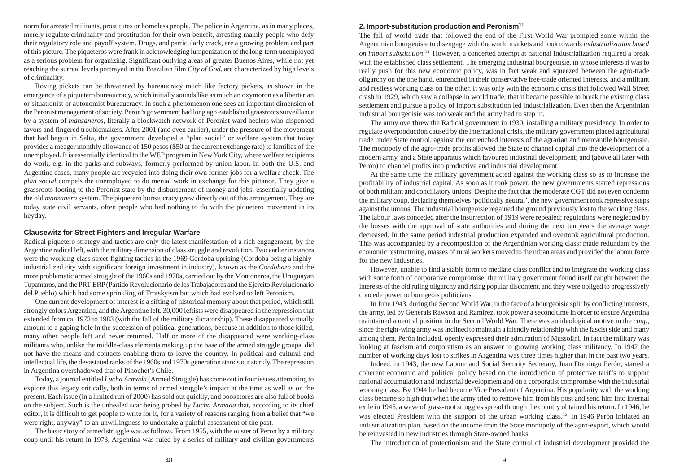norm for arrested militants, prostitutes or homeless people. The police in Argentina, as in many places, merely regulate criminality and prostitution for their own benefit, arresting mainly people who defy their regulatory role and payoff system. Drugs, and particularly crack, are a growing problem and part of this picture. The piqueteros were frank in acknowledging lumpenization of the long-term unemployed as a serious problem for organizing. Significant outlying areas of greater Buenos Aires, while not yet reaching the surreal levels portrayed in the Brazilian film *City of God*, are characterized by high levels of criminality.

Roving pickets can be threatened by bureaucracy much like factory pickets, as shown in the emergence of a piquetero bureaucracy, which initially sounds like as much an oxymoron as a libertarian or situationist or autonomist bureaucracy. In such a phenomenon one sees an important dimension of the Peronist management of society. Peron's government had long ago established grassroots surveillance by a system of *manzaneros*, literally a blockwatch network of Peronist ward heelers who dispensed favors and fingered troublemakers. After 2001 (and even earlier), under the pressure of the movement that had begun in Salta, the government developed a "plan social" or welfare system that today provides a meager monthly allowance of 150 pesos (\$50 at the current exchange rate) to families of the unemployed. It is essentially identical to the WEP program in New York City, where welfare recipients do work, e.g. in the parks and subways, formerly performed by union labor. In both the U.S. and Argentine cases, many people are recycled into doing their own former jobs for a welfare check. The *plan social* compels the unemployed to do menial work in exchange for this pittance. They give a grassroots footing to the Peronist state by the disbursement of money and jobs, essentially updating the old *manzanero* system. The piquetero bureaucracy grew directly out of this arrangement. They are today state civil servants, often people who had nothing to do with the piquetero movement in its heyday.

# **Clausewitz for Street Fighters and Irregular Warfare**

Radical piquetero strategy and tactics are only the latest manifestation of a rich engagement, by the Argentine radical left, with the military dimension of class struggle and revolution. Two earlier instances were the working-class street-fighting tactics in the 1969 Cordoba uprising (Cordoba being a highlyindustrialized city with significant foreign investment in industry), known as the *Cordobazo* and the more problematic armed struggle of the 1960s and 1970s, carried out by the Montoneros, the Uruguayan Tupamaros, and the PRT-ERP (Partido Revolucionario de los Trabajadores and the Ejercito Revolucionario del Pueblo) which had some sprinkling of Trotskyism but which had evolved to left Peronism.

One current development of interest is a sifting of historical memory about that period, which still strongly colors Argentina, and the Argentine left. 30,000 leftists were disappeared in the repression that extended from ca. 1972 to 1983 (with the fall of the military dictatorship). These disappeared virtually amount to a gaping hole in the succession of political generations, because in addition to those killed, many other people left and never returned. Half or more of the disappeared were working-class militants who, unlike the middle-class elements making up the base of the armed struggle groups, did not have the means and contacts enabling them to leave the country. In political and cultural and intellectual life, the devastated ranks of the 1960s and 1970s generation stands out starkly. The repression in Argentina overshadowed that of Pinochet's Chile.

Today, a journal entitled *Lucha Armada* (Armed Struggle) has come out in four issues attempting to explore this legacy critically, both in terms of armed struggle's impact at the time as well as on the present. Each issue (in a limited run of 2000) has sold out quickly, and bookstores are also full of books on the subject. Such is the unhealed scar being probed by *Lucha Armada* that, according to its chief editor, it is difficult to get people to write for it, for a variety of reasons ranging from a belief that "we were right, anyway" to an unwillingness to undertake a painful assessment of the past.

The basic story of armed struggle was as follows. From 1955, with the ouster of Peron by a military coup until his return in 1973, Argentina was ruled by a series of military and civilian governments

### **2. Import-substitution production and Peronism<sup>11</sup>**

The fall of world trade that followed the end of the First World War prompted some within the Argentinian bourgeoisie to disengage with the world markets and look towards *industrialization based on import substitution*.<sup>12</sup> However, a concerted attempt at national industrialization required a break with the established class settlement. The emerging industrial bourgeoisie, in whose interests it was to really push for this new economic policy, was in fact weak and squeezed between the agro-trade oligarchy on the one hand, entrenched in their conservative free-trade oriented interests, and a militant and restless working class on the other. It was only with the economic crisis that followed Wall Street crash in 1929, which saw a collapse in world trade, that it became possible to break the existing class settlement and pursue a policy of import substitution led industrialization. Even then the Argentinian industrial bourgeoisie was too weak and the army had to step in.

The army overthrew the Radical government in 1930, installing a military presidency. In order to regulate overproduction caused by the international crisis, the military government placed agricultural trade under State control, against the entrenched interests of the agrarian and mercantile bourgeoisie. The monopoly of the agro-trade profits allowed the State to channel capital into the development of a modern army, and a State apparatus which favoured industrial development; and (above all later with Perón) to channel profits into productive and industrial development.

At the same time the military government acted against the working class so as to increase the profitability of industrial capital. As soon as it took power, the new governments started repressions of both militant and conciliatory unions. Despite the fact that the moderate CGT did not even condemn the military coup, declaring themselves 'politically neutral', the new government took repressive steps against the unions. The industrial bourgeoisie regained the ground previously lost to the working class. The labour laws conceded after the insurrection of 1919 were repealed; regulations were neglected by the bosses with the approval of state authorities and during the next ten years the average wage decreased. In the same period industrial production expanded and overtook agricultural production. This was accompanied by a recomposition of the Argentinian working class: made redundant by the economic restructuring, masses of rural workers moved to the urban areas and provided the labour force for the new industries.

However, unable to find a stable form to mediate class conflict and to integrate the working class with some form of corporative compromise, the military government found itself caught between the interests of the old ruling oligarchy and rising popular discontent, and they were obliged to progressively concede power to bourgeois politicians.

In June 1943, during the Second World War, in the face of a bourgeoisie split by conflicting interests, the army, led by Generals Rawson and Ramírez, took power a second time in order to ensure Argentina maintained a neutral position in the Second World War. There was an ideological motive in the *coup*, since the right-wing army was inclined to maintain a friendly relationship with the fascist side and many among them, Perón included, openly expressed their admiration of Mussolini. In fact the military was looking at fascism and corporatism as an answer to growing working class militancy. In 1942 the number of working days lost to strikes in Argentina was three times higher than in the past two years.

Indeed, in 1943, the new Labour and Social Security Secretary, Juan Domingo Perón, started a coherent economic and political policy based on the introduction of protective tariffs to support national accumulation and industrial development and on a corporatist compromise with the industrial working class. By 1944 he had become Vice President of Argentina. His popularity with the working class became so high that when the army tried to remove him from his post and send him into internal exile in 1945, a wave of grass-root struggles spread through the country obtained his return. In 1946, he was elected President with the support of the urban working class.<sup>13</sup> In 1946 Perón initiated an industrialization plan, based on the income from the State monopoly of the agro-export, which would be reinvested in new industries through State-owned banks.

The introduction of protectionism and the State control of industrial development provided the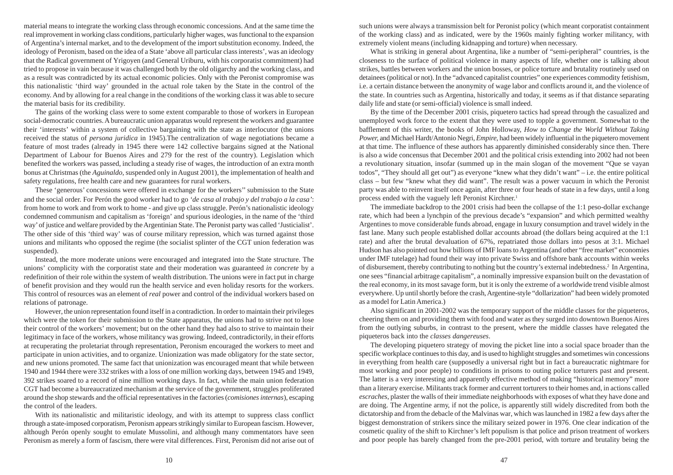material means to integrate the working class through economic concessions. And at the same time the real improvement in working class conditions, particularly higher wages, was functional to the expansion of Argentina's internal market, and to the development of the import substitution economy. Indeed, the ideology of Peronism, based on the idea of a State 'above all particular class interests', was an ideology that the Radical government of Yrigoyen (and General Uriburu, with his corporatist commitment) had tried to propose in vain because it was challenged both by the old oligarchy and the working class, and as a result was contradicted by its actual economic policies. Only with the Peronist compromise was this nationalistic 'third way' grounded in the actual role taken by the State in the control of the economy. And by allowing for a real change in the conditions of the working class it was able to secure the material basis for its credibility.

The gains of the working class were to some extent comparable to those of workers in European social-democratic countries. A bureaucratic union apparatus would represent the workers and guarantee their 'interests' within a system of collective bargaining with the state as interlocutor (the unions received the status of *persona juridica* in 1945).The centralization of wage negotiations became a feature of most trades (already in 1945 there were 142 collective bargains signed at the National Department of Labour for Buenos Aires and 279 for the rest of the country). Legislation which benefited the workers was passed, including a steady rise of wages, the introduction of an extra month bonus at Christmas (the *Aguinaldo*, suspended only in August 2001), the implementation of health and safety regulations, free health care and new guarantees for rural workers.

These 'generous' concessions were offered in exchange for the workers'' submission to the State and the social order. For Perón the good worker had to go *'de casa al trabajo y del trabajo a la casa'*: from home to work and from work to home - and give up class struggle. Perón's nationalistic ideology condemned communism and capitalism as 'foreign' and spurious ideologies, in the name of the 'third way' of justice and welfare provided by the Argentinian State. The Peronist party was called 'Justicialist'. The other side of this 'third way' was of course military repression, which was turned against those unions and militants who opposed the regime (the socialist splinter of the CGT union federation was suspended).

Instead, the more moderate unions were encouraged and integrated into the State structure. The unions' complicity with the corporatist state and their moderation was guaranteed *in concrete* by a redefinition of their role within the system of wealth distribution. The unions were in fact put in charge of benefit provision and they would run the health service and even holiday resorts for the workers. This control of resources was an element of *real* power and control of the individual workers based on relations of patronage.

However, the union representation found itself in a contradiction. In order to maintain their privileges which were the token for their submission to the State apparatus, the unions had to strive not to lose their control of the workers' movement; but on the other hand they had also to strive to maintain their legitimacy in face of the workers, whose militancy was growing. Indeed, contradictorily, in their efforts at recuperating the proletariat through representation, Peronism encouraged the workers to meet and participate in union activities, and to organize. Unionization was made obligatory for the state sector, and new unions promoted. The same fact that unionization was encouraged meant that while between 1940 and 1944 there were 332 strikes with a loss of one million working days, between 1945 and 1949, 392 strikes soared to a record of nine million working days. In fact, while the main union federation CGT had become a bureaucratized mechanism at the service of the government, struggles proliferated around the shop stewards and the official representatives in the factories (*comisiones internas*), escaping the control of the leaders.

With its nationalistic and militaristic ideology, and with its attempt to suppress class conflict through a state-imposed corporatism, Peronism appears strikingly similar to European fascism. However, although Perón openly sought to emulate Mussolini, and although many commentators have seen Peronism as merely a form of fascism, there were vital differences. First, Peronism did not arise out of such unions were always a transmission belt for Peronist policy (which meant corporatist containment of the working class) and as indicated, were by the 1960s mainly fighting worker militancy, with extremely violent means (including kidnapping and torture) when necessary.

What is striking in general about Argentina, like a number of "semi-peripheral" countries, is the closeness to the surface of political violence in many aspects of life, whether one is talking about strikes, battles between workers and the union bosses, or police torture and brutality routinely used on detainees (political or not). In the "advanced capitalist countries" one experiences commodity fetishism, i.e. a certain distance between the anonymity of wage labor and conflicts around it, and the violence of the state. In countries such as Argentina, historically and today, it seems as if that distance separating daily life and state (or semi-official) violence is small indeed.

By the time of the December 2001 crisis, piquetero tactics had spread through the casualized and unemployed work force to the extent that they were used to topple a government. Somewhat to the bafflement of this writer, the books of John Holloway, *How to Change the World Without Taking Power,* and Michael Hardt/Antonio Negri, *Empire*, had been widely influential in the piquetero movement at that time. The influence of these authors has apparently diminished considerably since then. There is also a wide concensus that December 2001 and the political crisis extending into 2002 had not been a revolutionary situation, insofar (summed up in the main slogan of the movement "Que se vayan todos", "They should all get out") as everyone "knew what they didn't want" – i.e. the entire political class – but few "knew what they did want". The result was a power vacuum in which the Peronist party was able to reinvent itself once again, after three or four heads of state in a few days, until a long process ended with the vaguely left Peronist Kirchner.<sup>1</sup>

The immediate backdrop to the 2001 crisis had been the collapse of the 1:1 peso-dollar exchange rate, which had been a lynchpin of the previous decade's "expansion" and which permitted wealthy Argentines to move considerable funds abroad, engage in luxury consumption and travel widely in the fast lane. Many such people established dollar accounts abroad (the dollars being acquired at the 1:1 rate) and after the brutal devaluation of 67%, repatriated those dollars into pesos at 3:1. Michael Hudson has also pointed out how billions of IMF loans to Argentina (and other "free market" economies under IMF tutelage) had found their way into private Swiss and offshore bank accounts within weeks of disbursement, thereby contributing to nothing but the country's external indebtedness.<sup>2</sup> In Argentina, one sees "financial arbitrage capitalism", a nominally impressive expansion built on the devastation of the real economy, in its most savage form, but it is only the extreme of a worldwide trend visible almost everywhere. Up until shortly before the crash, Argentine-style "dollarization" had been widely promoted as a model for Latin America.)

Also significant in 2001-2002 was the temporary support of the middle classes for the piqueteros, cheering them on and providing them with food and water as they surged into downtown Buenos Aires from the outlying suburbs, in contrast to the present, where the middle classes have relegated the piqueteros back into the *classes dangereuses*.

The developing piquetero strategy of moving the picket line into a social space broader than the specific workplace continues to this day, and is used to highlight struggles and sometimes win concessions in everything from health care (supposedly a universal right but in fact a bureaucratic nightmare for most working and poor people) to conditions in prisons to outing police torturers past and present. The latter is a very interesting and apparently effective method of making "historical memory" more than a literary exercise. Militants track former and current torturers to their homes and, in actions called *escraches*, plaster the walls of their immediate neighborhoods with exposes of what they have done and are doing. The Argentine army, if not the police, is apparently still widely discredited from both the dictatorship and from the debacle of the Malvinas war, which was launched in 1982 a few days after the biggest demonstration of strikers since the military seized power in 1976. One clear indication of the cosmetic quality of the shift to Kirchner's left populism is that police and prison treatment of workers and poor people has barely changed from the pre-2001 period, with torture and brutality being the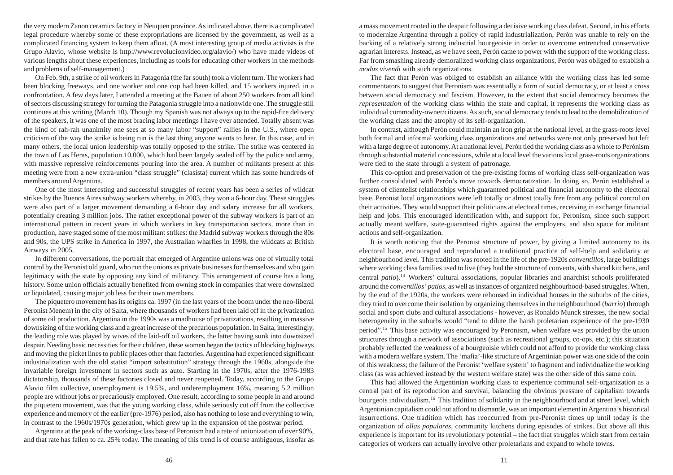the very modern Zanon ceramics factory in Neuquen province. As indicated above, there is a complicated legal procedure whereby some of these expropriations are licensed by the government, as well as a complicated financing system to keep them afloat. (A most interesting group of media activists is the Grupo Alavio, whose website is http://www.revolucionvideo.org/alavio/) who have made videos of various lengths about these experiences, including as tools for educating other workers in the methods and problems of self-management.)

On Feb. 9th, a strike of oil workers in Patagonia (the far south) took a violent turn. The workers had been blocking freeways, and one worker and one cop had been killed, and 15 workers injured, in a confrontation. A few days later, I attended a meeting at the Bauen of about 250 workers from all kind of sectors discussing strategy for turning the Patagonia struggle into a nationwide one. The struggle still continues at this writing (March 10). Though my Spanish was not always up to the rapid-fire delivery of the speakers, it was one of the most bracing labor meetings I have ever attended. Totally absent was the kind of rah-rah unanimity one sees at so many labor "support" rallies in the U.S., where open criticism of the way the strike is being run is the last thing anyone wants to hear. In this case, and in many others, the local union leadership was totally opposed to the strike. The strike was centered in the town of Las Heras, population 10,000, which had been largely sealed off by the police and army, with massive repressive reinforcements pouring into the area. A number of militants present at this meeting were from a new extra-union "class struggle" (clasista) current which has some hundreds of members around Argentina.

One of the most interesting and successful struggles of recent years has been a series of wildcat strikes by the Buenos Aires subway workers whereby, in 2003, they won a 6-hour day. These struggles were also part of a larger movement demanding a 6-hour day and salary increase for all workers, potentially creating 3 million jobs. The rather exceptional power of the subway workers is part of an international pattern in recent years in which workers in key transportation sectors, more than in production, have staged some of the most militant strikes: the Madrid subway workers through the 80s and 90s, the UPS strike in America in 1997, the Australian wharfies in 1998, the wildcats at British Airways in 2005.

In different conversations, the portrait that emerged of Argentine unions was one of virtually total control by the Peronist old guard, who run the unions as private businesses for themselves and who gain legitimacy with the state by opposing any kind of militancy. This arrangement of course has a long history. Some union officials actually benefited from owning stock in companies that were downsized or liquidated, causing major job less for their own members.

The piquetero movement has its origins ca. 1997 (in the last years of the boom under the neo-liberal Peronist Menem) in the city of Salta, where thousands of workers had been laid off in the privatization of some oil production. Argentina in the 1990s was a madhouse of privatizations, resulting in massive downsizing of the working class and a great increase of the precarious population. In Salta, interestingly, the leading role was played by wives of the laid-off oil workers, the latter having sunk into downsized despair. Needing basic necessities for their children, these women began the tactics of blocking highways and moving the picket lines to public places other than factories. Argentina had experienced significant industrialization with the old statist "import substitution" strategy through the 1960s, alongside the invariable foreign investment in sectors such as auto. Starting in the 1970s, after the 1976-1983 dictatorship, thousands of these factories closed and never reopened. Today, according to the Grupo Alavio film collective, unemployment is 19.5%, and underemployment 16%, meaning 5.2 million people are without jobs or precariously employed. One result, according to some people in and around the piquetero movement, was that the young working class, while seriously cut off from the collective experience and memory of the earlier (pre-1976) period, also has nothing to lose and everything to win, in contrast to the 1960s/1970s generation, which grew up in the expansion of the postwar period.

Argentina at the peak of the working-class base of Peronism had a rate of unionization of over 90%, and that rate has fallen to ca. 25% today. The meaning of this trend is of course ambiguous, insofar as a mass movement rooted in the despair following a decisive working class defeat. Second, in his efforts to modernize Argentina through a policy of rapid industrialization, Perón was unable to rely on the backing of a relatively strong industrial bourgeoisie in order to overcome entrenched conservative agrarian interests. Instead, as we have seen, Perón came to power with the support of the working class. Far from smashing already demoralized working class organizations, Perón was obliged to establish a *modus vivendi* with such organizations.

The fact that Perón was obliged to establish an alliance with the working class has led some commentators to suggest that Peronism was essentially a form of social democracy, or at least a cross between social democracy and fascism. However, to the extent that social democracy becomes the *representation* of the working class within the state and capital, it represents the working class as individual commodity-owner/citizens. As such, social democracy tends to lead to the demobilization of the working class and the atrophy of its self-organization.

In contrast, although Perón could maintain an iron grip at the national level, at the grass-roots level both formal and informal working class organizations and networks were not only preserved but left with a large degree of autonomy. At a national level, Perón tied the working class as a whole to Perónism through substantial material concessions, while at a local level the various local grass-roots organizations were tied to the state through a system of patronage.

This co-option and preservation of the pre-existing forms of working class self-organization was further consolidated with Perón's move towards democratization. In doing so, Perón established a system of clientelist relationships which guaranteed political and financial autonomy to the electoral base. Peronist local organizations were left totally or almost totally free from any political control on their activities. They would support their politicians at electoral times, receiving in exchange financial help and jobs. This encouraged identification with, and support for, Peronism, since such support actually meant welfare, state-guaranteed rights against the employers, and also space for militant actions and self-organization.

It is worth noticing that the Peronist structure of power, by giving a limited autonomy to its electoral base, encouraged and reproduced a traditional practice of self-help and solidarity at neighbourhood level. This tradition was rooted in the life of the pre-1920s *conventillos*, large buildings where working class families used to live (they had the structure of convents, with shared kitchens, and central *patio*).<sup>14</sup> Workers' cultural associations, popular libraries and anarchist schools proliferated around the *conventillos' patios*, as well as instances of organized neighbourhood-based struggles. When, by the end of the 1920s, the workers were rehoused in individual houses in the suburbs of the cities, they tried to overcome their isolation by organizing themselves in the neighbourhood (*barrio*) through social and sport clubs and cultural associations - however, as Ronaldo Munck stresses, the new social heterogeneity in the suburbs would "tend to dilute the harsh proletarian experience of the pre-1930 period".<sup>15</sup> This base activity was encouraged by Peronism, when welfare was provided by the union structures through a network of associations (such as recreational groups, co-ops, etc.); this situation probably reflected the weakness of a bourgeoisie which could not afford to provide the working class with a modern welfare system. The 'mafia'-like structure of Argentinian power was one side of the coin of this weakness; the failure of the Peronist 'welfare system' to fragment and individualize the working class (as was achieved instead by the western welfare state) was the other side of this same coin.

This had allowed the Argentinian working class to experience communal self-organization as a central part of its reproduction and survival, balancing the obvious pressure of capitalism towards bourgeois individualism.<sup>16</sup> This tradition of solidarity in the neighbourhood and at street level, which Argentinian capitalism could not afford to dismantle, was an important element in Argentina's historical insurrections. One tradition which has reoccurred from pre-Peronist times up until today is the organization of *ollas populares*, community kitchens during episodes of strikes. But above all this experience is important for its revolutionary potential – the fact that struggles which start from certain categories of workers can actually involve other proletarians and expand to whole towns.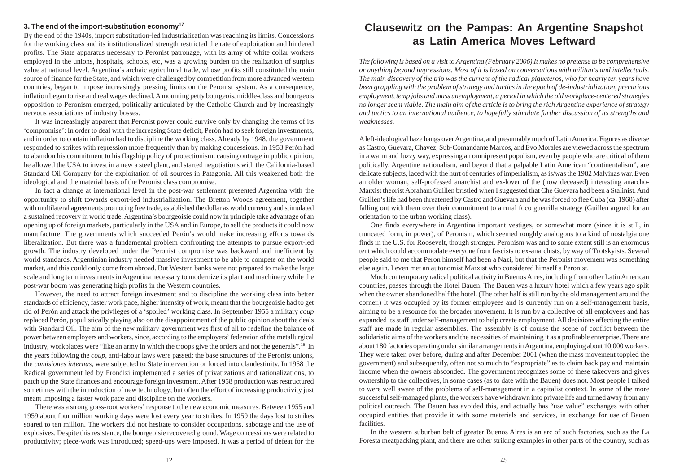# **3. The end of the import-substitution economy<sup>17</sup>**

By the end of the 1940s, import substitution-led industrialization was reaching its limits. Concessions for the working class and its institutionalized strength restricted the rate of exploitation and hindered profits. The State apparatus necessary to Peronist patronage, with its army of white collar workers employed in the unions, hospitals, schools, etc, was a growing burden on the realization of surplus value at national level. Argentina's archaic agricultural trade, whose profits still constituted the main source of finance for the State, and which were challenged by competition from more advanced western countries, began to impose increasingly pressing limits on the Peronist system. As a consequence, inflation began to rise and real wages declined. A mounting petty bourgeois, middle-class and bourgeois opposition to Peronism emerged, politically articulated by the Catholic Church and by increasingly nervous associations of industry bosses.

It was increasingly apparent that Peronist power could survive only by changing the terms of its 'compromise': In order to deal with the increasing State deficit, Perón had to seek foreign investments, and in order to contain inflation had to discipline the working class. Already by 1948, the government responded to strikes with repression more frequently than by making concessions. In 1953 Perón had to abandon his commitment to his flagship policy of protectionism: causing outrage in public opinion, he allowed the USA to invest in a new a steel plant, and started negotiations with the California-based Standard Oil Company for the exploitation of oil sources in Patagonia. All this weakened both the ideological and the material basis of the Peronist class compromise.

In fact a change at international level in the post-war settlement presented Argentina with the opportunity to shift towards export-led industrialization. The Bretton Woods agreement, together with multilateral agreements promoting free trade, established the dollar as world currency and stimulated a sustained recovery in world trade. Argentina's bourgeoisie could now in principle take advantage of an opening up of foreign markets, particularly in the USA and in Europe, to sell the products it could now manufacture. The governments which succeeded Perón's would make increasing efforts towards liberalization. But there was a fundamental problem confronting the attempts to pursue export-led growth. The industry developed under the Peronist compromise was backward and inefficient by world standards. Argentinian industry needed massive investment to be able to compete on the world market, and this could only come from abroad. But Western banks were not prepared to make the large scale and long term investments in Argentina necessary to modernize its plant and machinery while the post-war boom was generating high profits in the Western countries.

However, the need to attract foreign investment and to discipline the working class into better standards of efficiency, faster work pace, higher intensity of work, meant that the bourgeoisie had to get rid of Perón and attack the privileges of a 'spoiled' working class. In September 1955 a military *coup* replaced Perón, populistically playing also on the disappointment of the public opinion about the deals with Standard Oil. The aim of the new military government was first of all to redefine the balance of power between employers and workers, since, according to the employers' federation of the metallurgical industry, workplaces were "like an army in which the troops give the orders and not the generals".<sup>18</sup> In the years following the *coup*, anti-labour laws were passed; the base structures of the Peronist unions, the *comisiones internas*, were subjected to State intervention or forced into clandestinity. In 1958 the Radical government led by Frondizi implemented a series of privatizations and rationalizations, to patch up the State finances and encourage foreign investment. After 1958 production was restructured sometimes with the introduction of new technology; but often the effort of increasing productivity just meant imposing a faster work pace and discipline on the workers.

There was a strong grass-root workers' response to the new economic measures. Between 1955 and 1959 about four million working days were lost every year to strikes. In 1959 the days lost to strikes soared to ten million. The workers did not hesitate to consider occupations, sabotage and the use of explosives. Despite this resistance, the bourgeoisie recovered ground. Wage concessions were related to productivity; piece-work was introduced; speed-ups were imposed. It was a period of defeat for the

# **Clausewitz on the Pampas: An Argentine Snapshot as Latin America Moves Leftward**

*The following is based on a visit to Argentina (February 2006) It makes no pretense to be comprehensive or anything beyond impressions. Most of it is based on conversations with militants and intellectuals. The main discovery of the trip was the current of the radical piqueteros, who for nearly ten years have been grappling with the problem of strategy and tactics in the epoch of de-industrialization, precarious employment, temp jobs and mass unemployment, a period in which the old workplace-centered strategies no longer seem viable. The main aim of the article is to bring the rich Argentine experience of strategy and tactics to an international audience, to hopefully stimulate further discussion of its strengths and weaknesses.*

A left-ideological haze hangs over Argentina, and presumably much of Latin America. Figures as diverse as Castro, Guevara, Chavez, Sub-Comandante Marcos, and Evo Morales are viewed across the spectrum in a warm and fuzzy way, expressing an omnipresent populism, even by people who are critical of them politically. Argentine nationalism, and beyond that a palpable Latin American "continentalism", are delicate subjects, laced with the hurt of centuries of imperialism, as is/was the 1982 Malvinas war. Even an older woman, self-professed anarchist and ex-lover of the (now deceased) interesting anarcho-Marxist theorist Abraham Guillen bristled when I suggested that Che Guevara had been a Stalinist. And Guillen's life had been threatened by Castro and Guevara and he was forced to flee Cuba (ca. 1960) after falling out with them over their commitment to a rural foco guerrilla strategy (Guillen argued for an orientation to the urban working class).

One finds everywhere in Argentina important vestiges, or somewhat more (since it is still, in truncated form, in power), of Peronism, which seemed roughly analogous to a kind of nostalgia one finds in the U.S. for Roosevelt, though stronger. Peronism was and to some extent still is an enormous tent which could accommodate everyone from fascists to ex-anarchists, by way of Trotskyists. Several people said to me that Peron himself had been a Nazi, but that the Peronist movement was something else again. I even met an autonomist Marxist who considered himself a Peronist.

Much contemporary radical political activity in Buenos Aires, including from other Latin American countries, passes through the Hotel Bauen. The Bauen was a luxury hotel which a few years ago split when the owner abandoned half the hotel. (The other half is still run by the old management around the corner.) It was occupied by its former employees and is currently run on a self-management basis, aiming to be a resource for the broader movement. It is run by a collective of all employees and has expanded its staff under self-management to help create employment. All decisions affecting the entire staff are made in regular assemblies. The assembly is of course the scene of conflict between the solidaristic aims of the workers and the necessities of maintaining it as a profitable enterprise. There are about 180 factories operating under similar arrangements in Argentina, employing about 10,000 workers. They were taken over before, during and after December 2001 (when the mass movement toppled the government) and subsequently, often not so much to "expropriate" as to claim back pay and maintain income when the owners absconded. The government recognizes some of these takeovers and gives ownership to the collectives, in some cases (as to date with the Bauen) does not. Most people I talked to were well aware of the problems of self-management in a capitalist context. In some of the more successful self-managed plants, the workers have withdrawn into private life and turned away from any political outreach. The Bauen has avoided this, and actually has "use value" exchanges with other occupied entities that provide it with some materials and services, in exchange for use of Bauen facilities.

In the western suburban belt of greater Buenos Aires is an arc of such factories, such as the La Foresta meatpacking plant, and there are other striking examples in other parts of the country, such as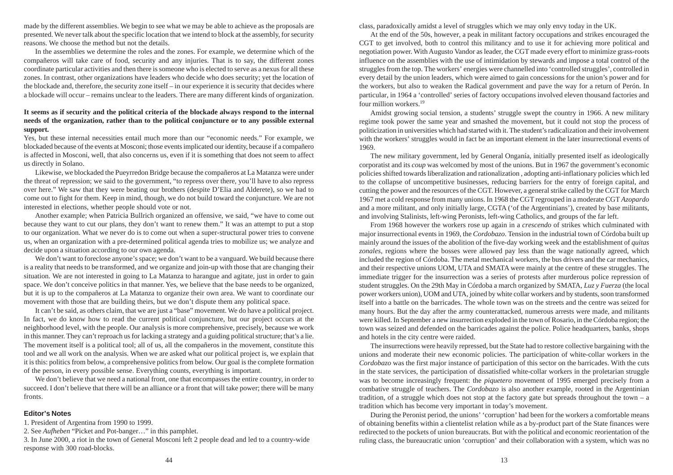made by the different assemblies. We begin to see what we may be able to achieve as the proposals are presented. We never talk about the specific location that we intend to block at the assembly, for security reasons. We choose the method but not the details.

In the assemblies we determine the roles and the zones. For example, we determine which of the compañeros will take care of food, security and any injuries. That is to say, the different zones coordinate particular activities and then there is someone who is elected to serve as a nexus for all these zones. In contrast, other organizations have leaders who decide who does security; yet the location of the blockade and, therefore, the security zone itself – in our experience it is security that decides where a blockade will occur – remains unclear to the leaders. There are many different kinds of organization.

# **It seems as if security and the political criteria of the blockade always respond to the internal needs of the organization, rather than to the political conjuncture or to any possible external support.**

Yes, but these internal necessities entail much more than our "economic needs." For example, we blockaded because of the events at Mosconi; those events implicated our identity, because if a compañero is affected in Mosconi, well, that also concerns us, even if it is something that does not seem to affect us directly in Solano.

Likewise, we blockaded the Pueyrredon Bridge because the compañeros at La Matanza were under the threat of repression; we said to the government, "to repress over there, you'll have to also repress over here." We saw that they were beating our brothers (despite D'Elia and Alderete), so we had to come out to fight for them. Keep in mind, though, we do not build toward the conjuncture. We are not interested in elections, whether people should vote or not.

Another example; when Patricia Bullrich organized an offensive, we said, "we have to come out because they want to cut our plans, they don't want to renew them." It was an attempt to put a stop to our organization. What we never do is to come out when a super-structural power tries to convene us, when an organization with a pre-determined political agenda tries to mobilize us; we analyze and decide upon a situation according to our own agenda.

We don't want to foreclose anyone's space; we don't want to be a vanguard. We build because there is a reality that needs to be transformed, and we organize and join-up with those that are changing their situation. We are not interested in going to La Matanza to harangue and agitate, just in order to gain space. We don't conceive politics in that manner. Yes, we believe that the base needs to be organized, but it is up to the compañeros at La Matanza to organize their own area. We want to coordinate our movement with those that are building theirs, but we don't dispute them any political space.

It can't be said, as others claim, that we are just a "base" movement. We do have a political project. In fact, we do know how to read the current political conjuncture, but our project occurs at the neighborhood level, with the people. Our analysis is more comprehensive, precisely, because we work in this manner. They can't reproach us for lacking a strategy and a guiding political structure; that's a lie. The movement itself is a political tool; all of us, all the compañeros in the movement, constitute this tool and we all work on the analysis. When we are asked what our political project is, we explain that it is this: politics from below, a comprehensive politics from below. Our goal is the complete formation of the person, in every possible sense. Everything counts, everything is important.

We don't believe that we need a national front, one that encompasses the entire country, in order to succeed. I don't believe that there will be an alliance or a front that will take power; there will be many fronts.

# **Editor's Notes**

1. President of Argentina from 1990 to 1999.

2. See *Aufheben* "Picket and Pot-banger…" in this pamphlet.

3. In June 2000, a riot in the town of General Mosconi left 2 people dead and led to a country-wide response with 300 road-blocks.

class, paradoxically amidst a level of struggles which we may only envy today in the UK.

At the end of the 50s, however, a peak in militant factory occupations and strikes encouraged the CGT to get involved, both to control this militancy and to use it for achieving more political and negotiation power. With Augusto Vandor as leader, the CGT made every effort to minimize grass-roots influence on the assemblies with the use of intimidation by stewards and impose a total control of the struggles from the top. The workers' energies were channelled into 'controlled struggles', controlled in every detail by the union leaders, which were aimed to gain concessions for the union's power and for the workers, but also to weaken the Radical government and pave the way for a return of Perón. In particular, in 1964 a 'controlled' series of factory occupations involved eleven thousand factories and four million workers.<sup>19</sup>

Amidst growing social tension, a students' struggle swept the country in 1966. A new military regime took power the same year and smashed the movement, but it could not stop the process of politicization in universities which had started with it. The student's radicalization and their involvement with the workers' struggles would in fact be an important element in the later insurrectional events of 1969.

The new military government, led by General Onganía, initially presented itself as ideologically corporatist and its *coup* was welcomed by most of the unions. But in 1967 the government's economic policies shifted towards liberalization and rationalization , adopting anti-inflationary policies which led to the collapse of uncompetitive businesses, reducing barriers for the entry of foreign capital, and cutting the power and the resources of the CGT. However, a general strike called by the CGT for March 1967 met a cold response from many unions. In 1968 the CGT regrouped in a moderate CGT *Azopardo* and a more militant, and only initially large, CGTA ('of the Argentinians'), created by base militants, and involving Stalinists, left-wing Peronists, left-wing Catholics, and groups of the far left.

From 1968 however the workers rose up again in a *crescendo* of strikes which culminated with major insurrectional events in 1969, the *Cordobazo*. Tension in the industrial town of Córdoba built up mainly around the issues of the abolition of the five-day working week and the establishment of *quitas zonales*, regions where the bosses were allowed pay less than the wage nationally agreed, which included the region of Córdoba. The metal mechanical workers, the bus drivers and the car mechanics, and their respective unions UOM, UTA and SMATA were mainly at the centre of these struggles. The immediate trigger for the insurrection was a series of protests after murderous police repression of student struggles. On the 29th May in Córdoba a march organized by SMATA, *Luz y Fuerza* (the local power workers union), UOM and UTA, joined by white collar workers and by students, soon transformed itself into a battle on the barricades. The whole town was on the streets and the centre was seized for many hours. But the day after the army counterattacked, numerous arrests were made, and militants were killed. In September a new insurrection exploded in the town of Rosario, in the Córdoba region; the town was seized and defended on the barricades against the police. Police headquarters, banks, shops and hotels in the city centre were raided.

The insurrections were heavily repressed, but the State had to restore collective bargaining with the unions and moderate their new economic policies. The participation of white-collar workers in the *Cordobazo* was the first major instance of participation of this sector on the barricades. With the cuts in the state services, the participation of dissatisfied white-collar workers in the proletarian struggle was to become increasingly frequent: the *piquetero* movement of 1995 emerged precisely from a combative struggle of teachers. The *Cordobazo* is also another example, rooted in the Argentinian tradition, of a struggle which does not stop at the factory gate but spreads throughout the town – a tradition which has become very important in today's movement.

During the Peronist period, the unions' 'corruption' had been for the workers a comfortable means of obtaining benefits within a clientelist relation while as a by-product part of the State finances were redirected to the pockets of union bureaucrats. But with the political and economic reorientation of the ruling class, the bureaucratic union 'corruption' and their collaboration with a system, which was no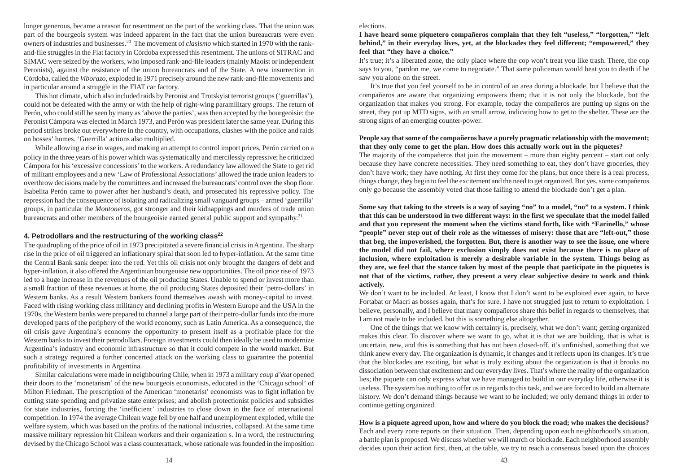longer generous, became a reason for resentment on the part of the working class. That the union was part of the bourgeois system was indeed apparent in the fact that the union bureaucrats were even owners of industries and businesses.<sup>20</sup> The movement of *clasismo* which started in 1970 with the rankand-file struggles in the Fiat factory in Córdoba expressed this resentment. The unions of SITRAC and SIMAC were seized by the workers, who imposed rank-and-file leaders (mainly Maoist or independent Peronists), against the resistance of the union bureaucrats and of the State. A new insurrection in Córdoba, called the *Viborazo*, exploded in 1971 precisely around the new rank-and-file movements and in particular around a struggle in the FIAT car factory.

This hot climate, which also included raids by Peronist and Trotskyist terrorist groups ('guerrillas'), could not be defeated with the army or with the help of right-wing paramilitary groups. The return of Perón, who could still be seen by many as 'above the parties', was then accepted by the bourgeoisie: the Peronist Cámpora was elected in March 1973, and Perón was president later the same year. During this period strikes broke out everywhere in the country, with occupations, clashes with the police and raids on bosses' homes. 'Guerrilla' actions also multiplied.

While allowing a rise in wages, and making an attempt to control import prices, Perón carried on a policy in the three years of his power which was systematically and mercilessly repressive; he criticized Cámpora for his 'excessive concessions' to the workers. A redundancy law allowed the State to get rid of militant employees and a new 'Law of Professional Associations' allowed the trade union leaders to overthrow decisions made by the committees and increased the bureaucrats' control over the shop floor. Isabelita Perón came to power after her husband's death, and prosecuted his repressive policy. The repression had the consequence of isolating and radicalizing small vanguard groups – armed 'guerrilla' groups, in particular the *Montoneros*, got stronger and their kidnappings and murders of trade union bureaucrats and other members of the bourgeoisie earned general public support and sympathy.<sup>21</sup>

## **4. Petrodollars and the restructuring of the working class<sup>22</sup>**

The quadrupling of the price of oil in 1973 precipitated a severe financial crisis in Argentina. The sharp rise in the price of oil triggered an inflationary spiral that soon led to hyper-inflation. At the same time the Central Bank sank deeper into the red. Yet this oil crisis not only brought the dangers of debt and hyper-inflation, it also offered the Argentinian bourgeoisie new opportunities. The oil price rise of 1973 led to a huge increase in the revenues of the oil producing States. Unable to spend or invest more than a small fraction of these revenues at home, the oil producing States deposited their 'petro-dollars' in Western banks. As a result Western bankers found themselves awash with money-capital to invest. Faced with rising working class militancy and declining profits in Western Europe and the USA in the 1970s, the Western banks were prepared to channel a large part of their petro-dollar funds into the more developed parts of the periphery of the world economy, such as Latin America. As a consequence, the oil crisis gave Argentina's economy the opportunity to present itself as a profitable place for the Western banks to invest their petrodollars. Foreign investments could then ideally be used to modernize Argentina's industry and economic infrastructure so that it could compete in the world market. But such a strategy required a further concerted attack on the working class to guarantee the potential profitability of investments in Argentina.

Similar calculations were made in neighbouring Chile, when in 1973 a military *coup d'état* opened their doors to the 'monetarism' of the new bourgeois economists, educated in the 'Chicago school' of Milton Friedman. The prescription of the American 'monetarist' economists was to fight inflation by cutting state spending and privatize state enterprises; and abolish protectionist policies and subsidies for state industries, forcing the 'inefficient' industries to close down in the face of international competition. In 1974 the average Chilean wage fell by one half and unemployment exploded, while the welfare system, which was based on the profits of the national industries, collapsed. At the same time massive military repression hit Chilean workers and their organization s. In a word, the restructuring devised by the Chicago School was a class counterattack, whose rationale was founded in the imposition **I have heard some piquetero compañeros complain that they felt "useless," "forgotten," "left behind," in their everyday lives, yet, at the blockades they feel different; "empowered," they feel that "they have a choice."**

It's true; it's a liberated zone, the only place where the cop won't treat you like trash. There, the cop says to you, "pardon me, we come to negotiate." That same policeman would beat you to death if he saw you alone on the street.

It's true that you feel yourself to be in control of an area during a blockade, but I believe that the compañeros are aware that organizing empowers them; that it is not only the blockade, but the organization that makes you strong. For example, today the compañeros are putting up signs on the street, they put up MTD signs, with an small arrow, indicating how to get to the shelter. These are the strong signs of an emerging counter-power.

# **People say that some of the compañeros have a purely pragmatic relationship with the movement; that they only come to get the plan. How does this actually work out in the piquetes?**

The majority of the compañeros that join the movement – more than eighty percent – start out only because they have concrete necessities. They need something to eat, they don't have groceries, they don't have work; they have nothing. At first they come for the plans, but once there is a real process, things change, they begin to feel the excitement and the need to get organized. But yes, some compañeros only go because the assembly voted that those failing to attend the blockade don't get a plan.

**Some say that taking to the streets is a way of saying "no" to a model, "no" to a system. I think that this can be understood in two different ways: in the first we speculate that the model failed and that you represent the moment when the victims stand forth, like with "Farinello," whose "people" never step out of their role as the witnesses of misery: those that are "left-out," those that beg, the impoverished, the forgotten. But, there is another way to see the issue, one where the model did not fail, where exclusion simply does not exist because there is no place of inclusion, where exploitation is merely a desirable variable in the system. Things being as they are, we feel that the stance taken by most of the people that participate in the piquetes is not that of the victims, rather, they present a very clear subjective desire to work and think actively.**

We don't want to be included. At least, I know that I don't want to be exploited ever again, to have Fortabat or Macri as bosses again, that's for sure. I have not struggled just to return to exploitation. I believe, personally, and I believe that many compañeros share this belief in regards to themselves, that I am not made to be included, but this is something else altogether.

One of the things that we know with certainty is, precisely, what we don't want; getting organized makes this clear. To discover where we want to go, what it is that we are building, that is what is uncertain, new, and this is something that has not been closed-off, it's unfinished, something that we think anew every day. The organization is dynamic, it changes and it reflects upon its changes. It's true that the blockades are exciting, but what is truly exiting about the organization is that it brooks no dissociation between that excitement and our everyday lives. That's where the reality of the organization lies; the piquete can only express what we have managed to build in our everyday life, otherwise it is useless. The system has nothing to offer us in regards to this task, and we are forced to build an alternate history. We don't demand things because we want to be included; we only demand things in order to continue getting organized.

# **How is a piquete agreed upon, how and where do you block the road; who makes the decisions?** Each and every zone reports on their situation. Then, depending upon each neighborhood's situation, a battle plan is proposed. We discuss whether we will march or blockade. Each neighborhood assembly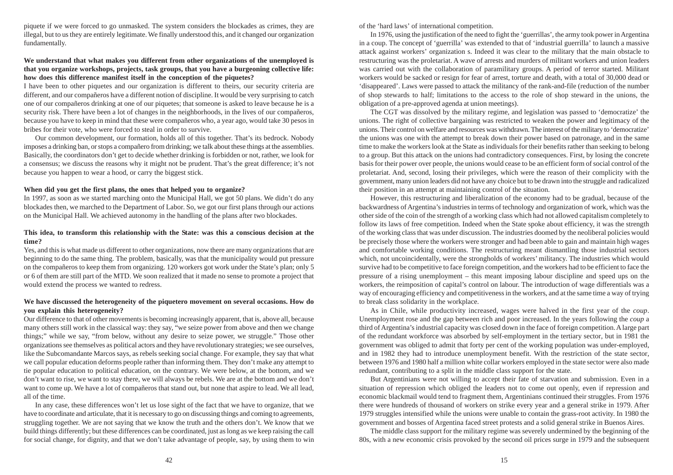piquete if we were forced to go unmasked. The system considers the blockades as crimes, they are illegal, but to us they are entirely legitimate. We finally understood this, and it changed our organization fundamentally.

# **We understand that what makes you different from other organizations of the unemployed is that you organize workshops, projects, task groups, that you have a burgeoning collective life: how does this difference manifest itself in the conception of the piquetes?**

I have been to other piquetes and our organization is different to theirs, our security criteria are different, and our compañeros have a different notion of discipline. It would be very surprising to catch one of our compañeros drinking at one of our piquetes; that someone is asked to leave because he is a security risk. There have been a lot of changes in the neighborhoods, in the lives of our compañeros, because you have to keep in mind that these were compañeros who, a year ago, would take 30 pesos in bribes for their vote, who were forced to steal in order to survive.

Our common development, our formation, holds all of this together. That's its bedrock. Nobody imposes a drinking ban, or stops a compañero from drinking; we talk about these things at the assemblies. Basically, the coordinators don't get to decide whether drinking is forbidden or not, rather, we look for a consensus; we discuss the reasons why it might not be prudent. That's the great difference; it's not because you happen to wear a hood, or carry the biggest stick.

# **When did you get the first plans, the ones that helped you to organize?**

In 1997, as soon as we started marching onto the Municipal Hall, we got 50 plans. We didn't do any blockades then, we marched to the Department of Labor. So, we got our first plans through our actions on the Municipal Hall. We achieved autonomy in the handling of the plans after two blockades.

# **This idea, to transform this relationship with the State: was this a conscious decision at the time?**

Yes, and this is what made us different to other organizations, now there are many organizations that are beginning to do the same thing. The problem, basically, was that the municipality would put pressure on the compañeros to keep them from organizing. 120 workers got work under the State's plan; only 5 or 6 of them are still part of the MTD. We soon realized that it made no sense to promote a project that would extend the process we wanted to redress.

# **We have discussed the heterogeneity of the piquetero movement on several occasions. How do you explain this heterogeneity?**

Our difference to that of other movements is becoming increasingly apparent, that is, above all, because many others still work in the classical way: they say, "we seize power from above and then we change things;" while we say, "from below, without any desire to seize power, we struggle." Those other organizations see themselves as political actors and they have revolutionary strategies; we see ourselves, like the Subcomandante Marcos says, as rebels seeking social change. For example, they say that what we call popular education deforms people rather than informing them. They don't make any attempt to tie popular education to political education, on the contrary. We were below, at the bottom, and we don't want to rise, we want to stay there, we will always be rebels. We are at the bottom and we don't want to come up. We have a lot of compañeros that stand out, but none that aspire to lead. We all lead, all of the time.

In any case, these differences won't let us lose sight of the fact that we have to organize, that we have to coordinate and articulate, that it is necessary to go on discussing things and coming to agreements, struggling together. We are not saying that we know the truth and the others don't. We know that we build things differently; but these differences can be coordinated, just as long as we keep raising the call for social change, for dignity, and that we don't take advantage of people, say, by using them to win of the 'hard laws' of international competition.

In 1976, using the justification of the need to fight the 'guerrillas', the army took power in Argentina in a coup. The concept of 'guerrilla' was extended to that of 'industrial guerrilla' to launch a massive attack against workers' organization s. Indeed it was clear to the military that the main obstacle to restructuring was the proletariat. A wave of arrests and murders of militant workers and union leaders was carried out with the collaboration of paramilitary groups. A period of terror started. Militant workers would be sacked or resign for fear of arrest, torture and death, with a total of 30,000 dead or 'disappeared'. Laws were passed to attack the militancy of the rank-and-file (reduction of the number of shop stewards to half; limitations to the access to the role of shop steward in the unions, the obligation of a pre-approved agenda at union meetings).

The CGT was dissolved by the military regime, and legislation was passed to 'democratize' the unions. The right of collective bargaining was restricted to weaken the power and legitimacy of the unions. Their control on welfare and resources was withdrawn. The interest of the military to 'democratize' the unions was one with the attempt to break down their power based on patronage, and in the same time to make the workers look at the State as individuals for their benefits rather than seeking to belong to a group. But this attack on the unions had contradictory consequences. First, by losing the concrete basis for their power over people, the unions would cease to be an efficient form of social control of the proletariat. And, second, losing their privileges, which were the reason of their complicity with the government, many union leaders did not have any choice but to be drawn into the struggle and radicalized their position in an attempt at maintaining control of the situation.

However, this restructuring and liberalization of the economy had to be gradual, because of the backwardness of Argentina's industries in terms of technology and organization of work, which was the other side of the coin of the strength of a working class which had not allowed capitalism completely to follow its laws of free competition. Indeed when the State spoke about efficiency, it was the strength of the working class that was under discussion. The industries doomed by the neoliberal policies would be precisely those where the workers were stronger and had been able to gain and maintain high wages and comfortable working conditions. The restructuring meant dismantling those industrial sectors which, not uncoincidentally, were the strongholds of workers' militancy. The industries which would survive had to be competitive to face foreign competition, and the workers had to be efficient to face the pressure of a rising unemployment – this meant imposing labour discipline and speed ups on the workers, the reimposition of capital's control on labour. The introduction of wage differentials was a way of encouraging efficiency and competitiveness in the workers, and at the same time a way of trying to break class solidarity in the workplace.

As in Chile, while productivity increased, wages were halved in the first year of the *coup*. Unemployment rose and the gap between rich and poor increased. In the years following the *coup*<sup>a</sup> third of Argentina's industrial capacity was closed down in the face of foreign competition. A large part of the redundant workforce was absorbed by self-employment in the tertiary sector, but in 1981 the government was obliged to admit that forty per cent of the working population was under-employed, and in 1982 they had to introduce unemployment benefit. With the restriction of the state sector, between 1976 and 1980 half a million white collar workers employed in the state sector were also made redundant, contributing to a split in the middle class support for the state.

But Argentinians were not willing to accept their fate of starvation and submission. Even in a situation of repression which obliged the leaders not to come out openly, even if repression and economic blackmail would tend to fragment them, Argentinians continued their struggles. From 1976 there were hundreds of thousand of workers on strike every year and a general strike in 1979. After 1979 struggles intensified while the unions were unable to contain the grass-root activity. In 1980 the government and bosses of Argentina faced street protests and a solid general strike in Buenos Aires.

The middle class support for the military regime was severely undermined by the beginning of the 80s, with a new economic crisis provoked by the second oil prices surge in 1979 and the subsequent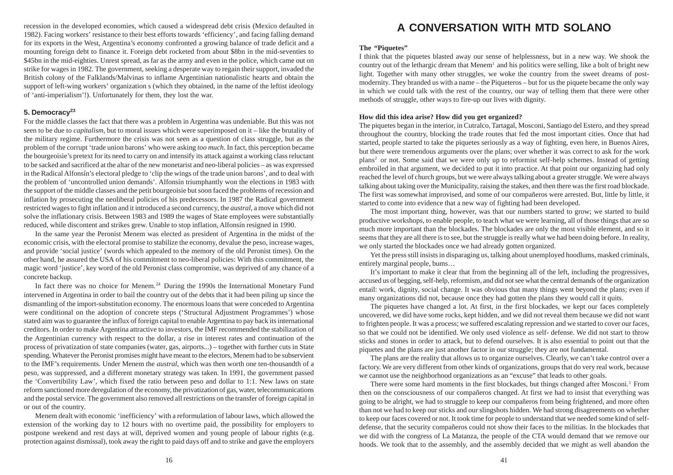recession in the developed economies, which caused a widespread debt crisis (Mexico defaulted in 1982). Facing workers' resistance to their best efforts towards 'efficiency', and facing falling demand for its exports in the West, Argentina's economy confronted a growing balance of trade deficit and a mounting foreign debt to finance it. Foreign debt rocketed from about \$8bn in the mid-seventies to \$45bn in the mid-eighties. Unrest spread, as far as the army and even in the police, which came out on strike for wages in 1982. The government, seeking a desperate way to regain their support, invaded the British colony of the Falklands/Malvinas to inflame Argentinian nationalistic hearts and obtain the support of left-wing workers' organization s (which they obtained, in the name of the leftist ideology of 'anti-imperialism'!). Unfortunately for them, they lost the war.

# **5. Democracy<sup>23</sup>**

For the middle classes the fact that there was a problem in Argentina was undeniable. But this was not seen to be due to *capitalism*, but to moral issues which were superimposed on it – like the brutality of the military regime. Furthermore the crisis was not seen as a question of class struggle, but as the problem of the corrupt 'trade union barons' who were asking *too much*. In fact, this perception became the bourgeoisie's pretext for its need to carry on and intensify its attack against a working class reluctant to be sacked and sacrificed at the altar of the new monetarist and neo-liberal policies – as was expressed in the Radical Alfonsín's electoral pledge to 'clip the wings of the trade union barons', and to deal with the problem of 'uncontrolled union demands'. Alfonsín triumphantly won the elections in 1983 with the support of the middle classes and the petit bourgeoisie but soon faced the problems of recession and inflation by prosecuting the neoliberal policies of his predecessors. In 1987 the Radical government restricted wages to fight inflation and it introduced a second currency, the *austral*, a move which did not solve the inflationary crisis. Between 1983 and 1989 the wages of State employees were substantially reduced, while discontent and strikes grew. Unable to stop inflation, Alfonsín resigned in 1990.

In the same year the Peronist Menem was elected as president of Argentina in the midst of the economic crisis, with the electoral promise to stabilize the economy, devalue the peso, increase wages, and provide 'social justice' (words which appealed to the memory of the old Peronist times). On the other hand, he assured the USA of his commitment to neo-liberal policies: With this commitment, the magic word 'justice', key word of the old Peronist class compromise, was deprived of any chance of a concrete backup.

In fact there was no choice for Menem.<sup>24</sup> During the 1990s the International Monetary Fund intervened in Argentina in order to bail the country out of the debts that it had been piling up since the dismantling of the import-substitution economy. The enormous loans that were conceded to Argentina were conditional on the adoption of concrete steps ('Structural Adjustment Programmes') whose stated aim was to guarantee the influx of foreign capital to enable Argentina to pay back its international creditors. In order to make Argentina attractive to investors, the IMF recommended the stabilization of the Argentinian currency with respect to the dollar, a rise in interest rates and continuation of the process of privatization of state companies (water, gas, airports...) – together with further cuts in State spending. Whatever the Peronist promises might have meant to the electors, Menem had to be subservient to the IMF's requirements. Under Menem the *austral*, which was then worth one ten-thousandth of a peso, was suppressed, and a different monetary strategy was taken. In 1991, the government passed the 'Convertibility Law', which fixed the ratio between peso and dollar to 1:1. New laws on state reform sanctioned more deregulation of the economy, the privatization of gas, water, telecommunications and the postal service. The government also removed all restrictions on the transfer of foreign capital in or out of the country.

Menem dealt with economic 'inefficiency' with a reformulation of labour laws, which allowed the extension of the working day to 12 hours with no overtime paid, the possibility for employers to postpone weekend and rest days at will, deprived women and young people of labour rights (e.g. protection against dismissal), took away the right to paid days off and to strike and gave the employers

# **A CONVERSATION WITH MTD SOLANO**

# **The "Piquetes"**

I think that the piquetes blasted away our sense of helplessness, but in a new way. We shook the country out of the lethargic dream that  $M$ enem<sup>1</sup> and his politics were selling, like a bolt of bright new light. Together with many other struggles, we woke the country from the sweet dreams of postmodernity. They branded us with a name – the Piqueteros – but for us the piquete became the only way in which we could talk with the rest of the country, our way of telling them that there were other methods of struggle, other ways to fire-up our lives with dignity.

# **How did this idea arise? How did you get organized?**

The piquetes began in the interior, in Cutralco, Tartagal, Mosconi, Santiago del Estero, and they spread throughout the country, blocking the trade routes that fed the most important cities. Once that had started, people started to take the piquetes seriously as a way of fighting, even here, in Buenos Aires, but there were tremendous arguments over the plans; over whether it was correct to ask for the work plans <sup>2</sup> or not. Some said that we were only up to reformist self-help schemes. Instead of getting embroiled in that argument, we decided to put it into practice. At that point our organizing had only reached the level of church groups, but we were always talking about a greater struggle. We were always talking about taking over the Municipality, raising the stakes, and then there was the first road blockade. The first was somewhat improvised, and some of our compañeros were arrested. But, little by little, it started to come into evidence that a new way of fighting had been developed.

The most important thing, however, was that our numbers started to grow; we started to build productive workshops, to enable people, to teach what we were learning, all of those things that are so much more important than the blockades. The blockades are only the most visible element, and so it seems that they are all there is to see, but the struggle is really what we had been doing before. In reality, we only started the blockades once we had already gotten organized.

Yet the press still insists in disparaging us, talking about unemployed hoodlums, masked criminals, entirely marginal people, bums…

It's important to make it clear that from the beginning all of the left, including the progressives, accused us of begging, self-help, reformism, and did not see what the central demands of the organization entail: work, dignity, social change. It was obvious that many things went beyond the plans; even if many organizations did not, because once they had gotten the plans they would call it quits.

The piquetes have changed a lot. At first, in the first blockades, we kept our faces completely uncovered, we did have some rocks, kept hidden, and we did not reveal them because we did not want to frighten people. It was a process; we suffered escalating repression and we started to cover our faces, so that we could not be identified. We only used violence as self- defense. We did not start to throw sticks and stones in order to attack, but to defend ourselves. It is also essential to point out that the piquetes and the plans are just another factor in our struggle; they are not fundamental.

The plans are the reality that allows us to organize ourselves. Clearly, we can't take control over a factory. We are very different from other kinds of organizations, groups that do very real work, because we cannot use the neighborhood organizations as an "excuse" that leads to other goals.

There were some hard moments in the first blockades, but things changed after Mosconi.<sup>3</sup> From then on the consciousness of our compañeros changed. At first we had to insist that everything was going to be alright, we had to struggle to keep our compañeros from being frightened, and more often than not we had to keep our sticks and our slingshots hidden. We had strong disagreements on whether to keep our faces covered or not. It took time for people to understand that we needed some kind of selfdefense, that the security compañeros could not show their faces to the militias. In the blockades that we did with the congress of La Matanza, the people of the CTA would demand that we remove our hoods. We took that to the assembly, and the assembly decided that we might as well abandon the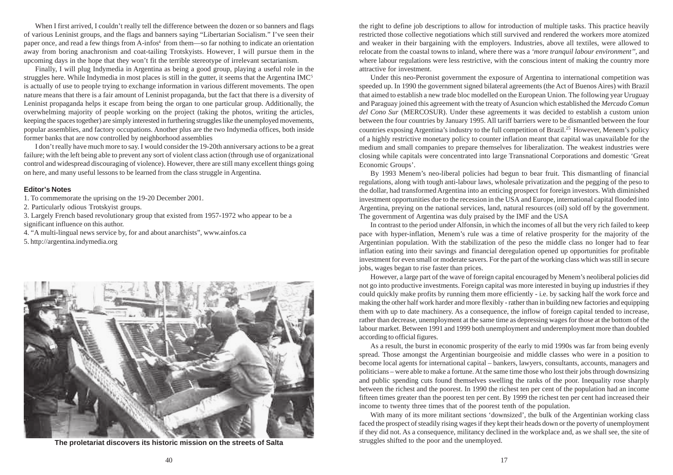When I first arrived. I couldn't really tell the difference between the dozen or so banners and flags of various Leninist groups, and the flags and banners saying "Libertarian Socialism." I've seen their paper once, and read a few things from A-infos<sup>4</sup> from them—so far nothing to indicate an orientation away from boring anachronism and coat-tailing Trotskyists. However, I will pursue them in the upcoming days in the hope that they won't fit the terrible stereotype of irrelevant sectarianism.

Finally, I will plug Indymedia in Argentina as being a good group, playing a useful role in the struggles here. While Indymedia in most places is still in the gutter, it seems that the Argentina IMC<sup>5</sup> is actually of use to people trying to exchange information in various different movements. The open nature means that there is a fair amount of Leninist propaganda, but the fact that there is a diversity of Leninist propaganda helps it escape from being the organ to one particular group. Additionally, the overwhelming majority of people working on the project (taking the photos, writing the articles, keeping the spaces together) are simply interested in furthering struggles like the unemployed movements, popular assemblies, and factory occupations. Another plus are the two Indymedia offices, both inside former banks that are now controlled by neighborhood assemblies

I don't really have much more to say. I would consider the 19-20th anniversary actions to be a great failure; with the left being able to prevent any sort of violent class action (through use of organizational control and widespread discouraging of violence). However, there are still many excellent things going on here, and many useful lessons to be learned from the class struggle in Argentina.

# **Editor's Notes**

1. To commemorate the uprising on the 19-20 December 2001.

2. Particularly odious Trotskyist groups.

3. Largely French based revolutionary group that existed from 1957-1972 who appear to be a significant influence on this author.

4. "A multi-lingual news service by, for and about anarchists", www.ainfos.ca 5. http://argentina.indymedia.org



**The proletariat discovers its historic mission on the streets of Salta**

the right to define job descriptions to allow for introduction of multiple tasks. This practice heavily restricted those collective negotiations which still survived and rendered the workers more atomized and weaker in their bargaining with the employers. Industries, above all textiles, were allowed to relocate from the coastal towns to inland, where there was a *'more tranquil labour environment''*, and where labour regulations were less restrictive, with the conscious intent of making the country more attractive for investment.

Under this neo-Peronist government the exposure of Argentina to international competition was speeded up. In 1990 the government signed bilateral agreements (the Act of Buenos Aires) with Brazil that aimed to establish a new trade bloc modelled on the European Union. The following year Uruguay and Paraguay joined this agreement with the treaty of Asuncion which established the *Mercado Comun del Cono Sur* (MERCOSUR). Under these agreements it was decided to establish a custom union between the four countries by January 1995. All tariff barriers were to be dismantled between the four countries exposing Argentina's industry to the full competition of Brazil.<sup>25</sup> However, Menem's policy of a highly restrictive monetary policy to counter inflation meant that capital was unavailable for the medium and small companies to prepare themselves for liberalization. The weakest industries were closing while capitals were concentrated into large Transnational Corporations and domestic 'Great Economic Groups'.

By 1993 Menem's neo-liberal policies had begun to bear fruit. This dismantling of financial regulations, along with tough anti-labour laws, wholesale privatization and the pegging of the peso to the dollar, had transformed Argentina into an enticing prospect for foreign investors. With diminished investment opportunities due to the recession in the USA and Europe, international capital flooded into Argentina, preying on the national services, land, natural resources (oil) sold off by the government. The government of Argentina was duly praised by the IMF and the USA

In contrast to the period under Alfonsín, in which the incomes of all but the very rich failed to keep pace with hyper-inflation, Menem's rule was a time of relative prosperity for the majority of the Argentinian population. With the stabilization of the peso the middle class no longer had to fear inflation eating into their savings and financial deregulation opened up opportunities for profitable investment for even small or moderate savers. For the part of the working class which was still in secure jobs, wages began to rise faster than prices.

However, a large part of the wave of foreign capital encouraged by Menem's neoliberal policies did not go into productive investments. Foreign capital was more interested in buying up industries if they could quickly make profits by running them more efficiently - i.e. by sacking half the work force and making the other half work harder and more flexibly - rather than in building new factories and equipping them with up to date machinery. As a consequence, the inflow of foreign capital tended to increase, rather than decrease, unemployment at the same time as depressing wages for those at the bottom of the labour market. Between 1991 and 1999 both unemployment and underemployment more than doubled according to official figures.

As a result, the burst in economic prosperity of the early to mid 1990s was far from being evenly spread. Those amongst the Argentinian bourgeoisie and middle classes who were in a position to become local agents for international capital – bankers, lawyers, consultants, accounts, managers and politicians – were able to make a fortune. At the same time those who lost their jobs through downsizing and public spending cuts found themselves swelling the ranks of the poor. Inequality rose sharply between the richest and the poorest. In 1990 the richest ten per cent of the population had an income fifteen times greater than the poorest ten per cent. By 1999 the richest ten per cent had increased their income to twenty three times that of the poorest tenth of the population.

With many of its more militant sections 'downsized', the bulk of the Argentinian working class faced the prospect of steadily rising wages if they kept their heads down or the poverty of unemployment if they did not. As a consequence, militancy declined in the workplace and, as we shall see, the site of struggles shifted to the poor and the unemployed.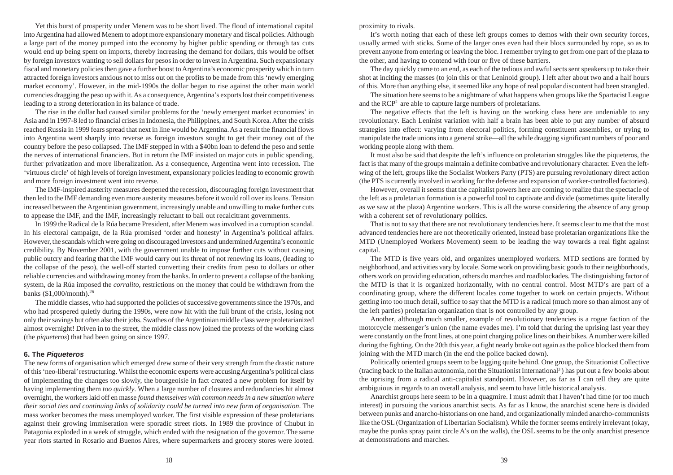Yet this burst of prosperity under Menem was to be short lived. The flood of international capital into Argentina had allowed Menem to adopt more expansionary monetary and fiscal policies. Although a large part of the money pumped into the economy by higher public spending or through tax cuts would end up being spent on imports, thereby increasing the demand for dollars, this would be offset by foreign investors wanting to sell dollars for pesos in order to invest in Argentina. Such expansionary fiscal and monetary policies then gave a further boost to Argentina's economic prosperity which in turn attracted foreign investors anxious not to miss out on the profits to be made from this 'newly emerging market economy'. However, in the mid-1990s the dollar began to rise against the other main world currencies dragging the peso up with it. As a consequence, Argentina's exports lost their competitiveness leading to a strong deterioration in its balance of trade.

The rise in the dollar had caused similar problems for the 'newly emergent market economies' in Asia and in 1997-8 led to financial crises in Indonesia, the Philippines, and South Korea. After the crisis reached Russia in 1999 fears spread that next in line would be Argentina. As a result the financial flows into Argentina went sharply into reverse as foreign investors sought to get their money out of the country before the peso collapsed. The IMF stepped in with a \$40bn loan to defend the peso and settle the nerves of international financiers. But in return the IMF insisted on major cuts in public spending, further privatization and more liberalization. As a consequence, Argentina went into recession. The 'virtuous circle' of high levels of foreign investment, expansionary policies leading to economic growth and more foreign investment went into reverse.

The IMF-inspired austerity measures deepened the recession, discouraging foreign investment that then led to the IMF demanding even more austerity measures before it would roll over its loans. Tension increased between the Argentinian government, increasingly unable and unwilling to make further cuts to appease the IMF, and the IMF, increasingly reluctant to bail out recalcitrant governments.

In 1999 the Radical de la Rúa became President, after Menem was involved in a corruption scandal. In his electoral campaign, de la Rúa promised 'order and honesty' in Argentina's political affairs. However, the scandals which were going on discouraged investors and undermined Argentina's economic credibility. By November 2001, with the government unable to impose further cuts without causing public outcry and fearing that the IMF would carry out its threat of not renewing its loans, (leading to the collapse of the peso), the well-off started converting their credits from peso to dollars or other reliable currencies and withdrawing money from the banks. In order to prevent a collapse of the banking system, de la Rúa imposed the *corralito*, restrictions on the money that could be withdrawn from the banks (\$1,000/month).<sup>26</sup>

The middle classes, who had supported the policies of successive governments since the 1970s, and who had prospered quietly during the 1990s, were now hit with the full brunt of the crisis, losing not only their savings but often also their jobs. Swathes of the Argentinian middle class were proletarianized almost overnight! Driven in to the street, the middle class now joined the protests of the working class (the *piqueteros*) that had been going on since 1997.

### **6. The Piqueteros**

The new forms of organisation which emerged drew some of their very strength from the drastic nature of this 'neo-liberal' restructuring. Whilst the economic experts were accusing Argentina's political class of implementing the changes too slowly, the bourgeoisie in fact created a new problem for itself by having implementing them *too quickly*. When a large number of closures and redundancies hit almost overnight, the workers laid off en masse *found themselves with common needs in a new situation where their social ties and continuing links of solidarity could be turned into new form of organisation*. The mass worker becomes the mass unemployed worker. The first visible expression of these proletarians against their growing immiseration were sporadic street riots. In 1989 the province of Chubut in Patagonia exploded in a week of struggle, which ended with the resignation of the governor. The same year riots started in Rosario and Buenos Aires, where supermarkets and grocery stores were looted.

proximity to rivals.

It's worth noting that each of these left groups comes to demos with their own security forces, usually armed with sticks. Some of the larger ones even had their blocs surrounded by rope, so as to prevent anyone from entering or leaving the bloc. I remember trying to get from one part of the plaza to the other, and having to contend with four or five of these barriers.

The day quickly came to an end, as each of the tedious and awful sects sent speakers up to take their shot at inciting the masses (to join this or that Leninoid group). I left after about two and a half hours of this. More than anything else, it seemed like any hope of real popular discontent had been strangled.

The situation here seems to be a nightmare of what happens when groups like the Spartacist League and the RCP<sup>2</sup> are able to capture large numbers of proletarians.

The negative effects that the left is having on the working class here are undeniable to any revolutionary. Each Leninist variation with half a brain has been able to put any number of absurd strategies into effect: varying from electoral politics, forming constituent assemblies, or trying to manipulate the trade unions into a general strike—all the while dragging significant numbers of poor and working people along with them.

It must also be said that despite the left's influence on proletarian struggles like the piqueteros, the fact is that many of the groups maintain a definite combative and revolutionary character. Even the leftwing of the left, groups like the Socialist Workers Party (PTS) are pursuing revolutionary direct action (the PTS is currently involved in working for the defense and expansion of worker-controlled factories).

However, overall it seems that the capitalist powers here are coming to realize that the spectacle of the left as a proletarian formation is a powerful tool to captivate and divide (sometimes quite literally as we saw at the plaza) Argentine workers. This is all the worse considering the absence of any group with a coherent set of revolutionary politics.

That is not to say that there are not revolutionary tendencies here. It seems clear to me that the most advanced tendencies here are not theoretically oriented, instead base proletarian organizations like the MTD (Unemployed Workers Movement) seem to be leading the way towards a real fight against capital.

The MTD is five years old, and organizes unemployed workers. MTD sections are formed by neighborhood, and activities vary by locale. Some work on providing basic goods to their neighborhoods, others work on providing education, others do marches and roadblockades. The distinguishing factor of the MTD is that it is organized horizontally, with no central control. Most MTD's are part of a coordinating group, where the different locales come together to work on certain projects. Without getting into too much detail, suffice to say that the MTD is a radical (much more so than almost any of the left parties) proletarian organization that is not controlled by any group.

Another, although much smaller, example of revolutionary tendencies is a rogue faction of the motorcycle messenger's union (the name evades me). I'm told that during the uprising last year they were constantly on the front lines, at one point charging police lines on their bikes. A number were killed during the fighting. On the 20th this year, a fight nearly broke out again as the police blocked them from joining with the MTD march (in the end the police backed down).

Politically oriented groups seem to be lagging quite behind. One group, the Situationist Collective (tracing back to the Italian autonomia, not the Situationist International<sup>3</sup> ) has put out a few books about the uprising from a radical anti-capitalist standpoint. However, as far as I can tell they are quite ambiguious in regards to an overall analysis, and seem to have little historical analysis.

Anarchist groups here seem to be in a quagmire. I must admit that I haven't had time (or too much interest) in pursuing the various anarchist sects. As far as I know, the anarchist scene here is divided between punks and anarcho-historians on one hand, and organizationally minded anarcho-communists like the OSL (Organization of Libertarian Socialism). While the former seems entirely irrelevant (okay, maybe the punks spray paint circle A's on the walls), the OSL seems to be the only anarchist presence at demonstrations and marches.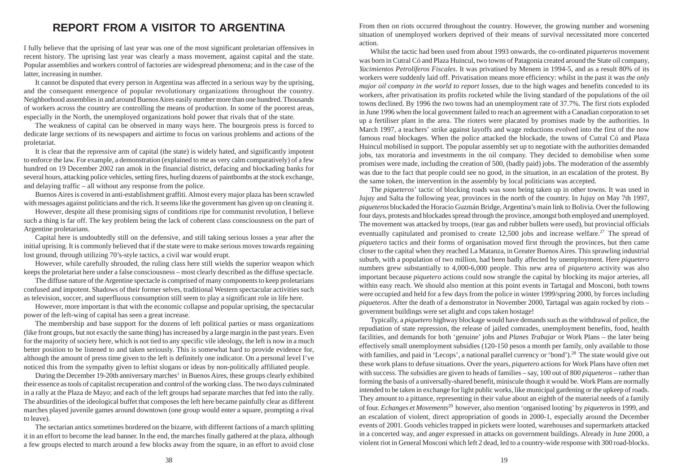# **REPORT FROM A VISITOR TO ARGENTINA**

I fully believe that the uprising of last year was one of the most significant proletarian offensives in recent history. The uprising last year was clearly a mass movement, against capital and the state. Popular assemblies and workers control of factories are widespread phenomena; and in the case of the latter, increasing in number.

It cannot be disputed that every person in Argentina was affected in a serious way by the uprising, and the consequent emergence of popular revolutionary organizations throughout the country. Neighborhood assemblies in and around Buenos Aires easily number more than one hundred. Thousands of workers across the country are controlling the means of production. In some of the poorest areas, especially in the North, the unemployed organizations hold power that rivals that of the state.

The weakness of capital can be observed in many ways here. The bourgeois press is forced to dedicate large sections of its newspapers and airtime to focus on various problems and actions of the proletariat.

It is clear that the repressive arm of capital (the state) is widely hated, and significantly impotent to enforce the law. For example, a demonstration (explained to me as very calm comparatively) of a few hundred on 19 December 2002 ran amok in the financial district, defacing and blockading banks for several hours, attacking police vehicles, setting fires, hurling dozens of paintbombs at the stock exchange, and delaying traffic – all without any response from the police.

Buenos Aires is covered in anti-establishment graffiti. Almost every major plaza has been scrawled with messages against politicians and the rich. It seems like the government has given up on cleaning it.

However, despite all these promising signs of conditions ripe for communist revolution, I believe such a thing is far off. The key problem being the lack of coherent class consciousness on the part of Argentine proletarians.

Capital here is undoubtedly still on the defensive, and still taking serious losses a year after the initial uprising. It is commonly believed that if the state were to make serious moves towards regaining lost ground, through utilizing 70's-style tactics, a civil war would erupt.

However, while carefully shrouded, the ruling class here still wields the superior weapon which keeps the proletariat here under a false consciousness – most clearly described as the diffuse spectacle.

The diffuse nature of the Argentine spectacle is comprised of many components to keep proletarians confused and impotent. Shadows of their former selves, traditional Western spectacular activities such as television, soccer, and superfluous consumption still seem to play a significant role in life here.

However, more important is that with the economic collapse and popular uprising, the spectacular power of the left-wing of capital has seen a great increase.

The membership and base support for the dozens of left political parties or mass organizations (like front groups, but not exactly the same thing) has increased by a large margin in the past years. Even for the majority of society here, which is not tied to any specific vile ideology, the left is now in a much better position to be listened to and taken seriously. This is somewhat hard to provide evidence for, although the amount of press time given to the left is definitely one indicator. On a personal level I've noticed this from the sympathy given to leftist slogans or ideas by non-politically affiliated people.

During the December 19-20th anniversary marches<sup>1</sup> in Buenos Aires, these groups clearly exhibited their essence as tools of capitalist recuperation and control of the working class. The two days culminated in a rally at the Plaza de Mayo; and each of the left groups had separate marches that fed into the rally. The absurdities of the ideological buffet that composes the left here became painfully clear as different marches played juvenile games around downtown (one group would enter a square, prompting a rival to leave).

The sectarian antics sometimes bordered on the bizarre, with different factions of a march splitting it in an effort to become the lead banner. In the end, the marches finally gathered at the plaza, although a few groups elected to march around a few blocks away from the square, in an effort to avoid close From then on riots occurred throughout the country. However, the growing number and worsening situation of unemployed workers deprived of their means of survival necessitated more concerted action.

Whilst the tactic had been used from about 1993 onwards, the co-ordinated *piqueteros* movement was born in Cutral Có and Plaza Huincul, two towns of Patagonia created around the State oil company, *Yacimientos Petrolíferos Fiscales*. It was privatised by Menem in 1994-5, and as a result 80% of its workers were suddenly laid off. Privatisation means more efficiency: whilst in the past it was *the only major oil company in the world to report losses*, due to the high wages and benefits conceded to its workers, after privatisation its profits rocketed while the living standard of the populations of the oil towns declined. By 1996 the two towns had an unemployment rate of 37.7%. The first riots exploded in June 1996 when the local government failed to reach an agreement with a Canadian corporation to set up a fertiliser plant in the area. The rioters were placated by promises made by the authorities. In March 1997, a teachers' strike against layoffs and wage reductions evolved into the first of the now famous road blockages. When the police attacked the blockade, the towns of Cutral Có and Plaza Huincul mobilised in support. The popular assembly set up to negotiate with the authorities demanded jobs, tax moratoria and investments in the oil company. They decided to demobilise when some promises were made, including the creation of 500, (badly paid) jobs. The moderation of the assembly was due to the fact that people could see no good, in the situation, in an escalation of the protest. By the same token, the intervention in the assembly by local politicians was accepted.

The *piqueteros*' tactic of blocking roads was soon being taken up in other towns. It was used in Jujuy and Salta the following year, provinces in the north of the country. In Jujuy on May 7th 1997, *piqueteros* blockaded the Horacio Guzmán Bridge, Argentina's main link to Bolivia. Over the following four days, protests and blockades spread through the province, amongst both employed and unemployed. The movement was attacked by troops, (tear gas and rubber bullets were used), but provincial officials eventually capitulated and promised to create  $12,500$  jobs and increase welfare.<sup>27</sup> The spread of *piquetero* tactics and their forms of organisation moved first through the provinces, but then came closer to the capital when they reached La Matanza, in Greater Buenos Aires. This sprawling industrial suburb, with a population of two million, had been badly affected by unemployment. Here *piquetero* numbers grew substantially to 4,000-6,000 people. This new area of *piquetero* activity was also important because *piquetero* actions could now strangle the capital by blocking its major arteries, all within easy reach. We should also mention at this point events in Tartagal and Mosconi, both towns were occupied and held for a few days from the police in winter 1999/spring 2000, by forces including *piqueteros*. After the death of a demonstrator in November 2000, Tartagal was again rocked by riots – government buildings were set alight and cops taken hostage!

Typically, a *piquetero* highway blockage would have demands such as the withdrawal of police, the repudiation of state repression, the release of jailed comrades, unemployment benefits, food, health facilities, and demands for both 'genuine' jobs and *Planes Trabajar* or Work Plans – the later being effectively small unemployment subsidies (120-150 pesos a month per family, only available to those with families, and paid in 'Lecops', a national parallel currency or 'bond').<sup>28</sup> The state would give out these work plans to defuse situations. Over the years, *piquetero* actions for Work Plans have often met with success. The subsidies are given to heads of families – say, 100 out of 800 *piqueteros* – rather than forming the basis of a universally-shared benefit, miniscule though it would be. Work Plans are normally intended to be taken in exchange for light public works, like municipal gardening or the upkeep of roads. They amount to a pittance, representing in their value about an eighth of the material needs of a family of four. *Echanges et Movements*<sup>29</sup> however, also mention 'organised looting' by *piqueteros* in 1999, and an escalation of violent, direct appropriation of goods in 2000-1, especially around the December events of 2001. Goods vehicles trapped in pickets were looted, warehouses and supermarkets attacked in a concerted way, and anger expressed in attacks on government buildings. Already in June 2000, a violent riot in General Mosconi which left 2 dead, led to a country-wide response with 300 road-blocks.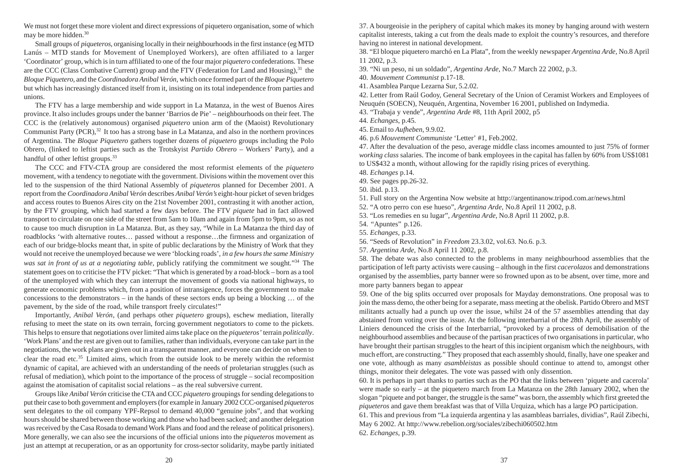We must not forget these more violent and direct expressions of piquetero organisation, some of which may be more hidden.<sup>30</sup>

Small groups of *piqueteros*, organising locally in their neighbourhoods in the first instance (eg MTD Lanús – MTD stands for Movement of Unemployed Workers), are often affiliated to a larger 'Coordinator' group, which is in turn affiliated to one of the four major *piquetero* confederations. These are the CCC (Class Combative Current) group and the FTV (Federation for Land and Housing),  $31$  the *Bloque Piquetero*, and the *Coordinadora Anibal Verón*, which once formed part of the *Bloque Piquetero* but which has increasingly distanced itself from it, insisting on its total independence from parties and unions.

The FTV has a large membership and wide support in La Matanza, in the west of Buenos Aires province. It also includes groups under the banner 'Barrios de Pie' – neighbourhoods on their feet. The CCC is the (relatively autonomous) organised *piquetero* union arm of the (Maoist) Revolutionary Communist Party (PCR), $32$  It too has a strong base in La Matanza, and also in the northern provinces of Argentina. The *Bloque Piquetero* gathers together dozens of *piquetero* groups including the Polo Obrero, (linked to leftist parties such as the Trotskyist *Partido Obrero* – Workers' Party), and a handful of other leftist groups.<sup>33</sup>

The CCC and FTV-CTA group are considered the most reformist elements of the *piquetero* movement, with a tendency to negotiate with the government. Divisions within the movement over this led to the suspension of the third National Assembly of *piqueteros* planned for December 2001. A report from the *Coordinadora Anibal Verón* describes *Anibal Verón's* eight-hour picket of seven bridges and access routes to Buenos Aires city on the 21st November 2001, contrasting it with another action, by the FTV grouping, which had started a few days before. The FTV *piquete* had in fact allowed transport to circulate on one side of the street from 5am to 10am and again from 5pm to 9pm, so as not to cause too much disruption in La Matanza. But, as they say, "While in La Matanza the third day of roadblocks 'with alternative routes… passed without a response…the firmness and organization of each of our bridge-blocks meant that, in spite of public declarations by the Ministry of Work that they would not receive the unemployed because we were 'blocking roads', *in a few hours the same Ministry was sat in front of us at a negotiating table*, publicly ratifying the commitment we sought."<sup>34</sup> The statement goes on to criticise the FTV picket: "That which is generated by a road-block – born as a tool of the unemployed with which they can interrupt the movement of goods via national highways, to generate economic problems which, from a position of intransigence, forces the government to make concessions to the demonstrators – in the hands of these sectors ends up being a blocking … of the pavement, by the side of the road, while transport freely circulates!"

Importantly, *Anibal Verón*, (and perhaps other *piquetero* groups), eschew mediation, literally refusing to meet the state on its own terrain, forcing government negotiators to come to the pickets. This helps to ensure that negotiations over limited aims take place on the *piqueteros'* terrain *politically*. 'Work Plans' and the rest are given out to families, rather than individuals, everyone can take part in the negotiations, the work plans are given out in a transparent manner, and everyone can decide on when to clear the road etc.<sup>35</sup> Limited aims, which from the outside look to be merely within the reformist dynamic of capital, are achieved with an understanding of the needs of proletarian struggles (such as refusal of mediation), which point to the importance of the process of struggle – social recomposition against the atomisation of capitalist social relations – as the real subversive current.

Groups like *Anibal Verón* criticise the CTA and CCC *piquetero* groupings for sending delegations to put their case to both government and employers (for example in January 2002 CCC-organised *piqueteros* sent delegates to the oil company YPF-Repsol to demand 40,000 "genuine jobs", and that working hours should be shared between those working and those who had been sacked; and another delegation was received by the Casa Rosada to demand Work Plans and food and the release of political prisoners). More generally, we can also see the incursions of the official unions into the *piqueteros* movement as just an attempt at recuperation, or as an opportunity for cross-sector solidarity, maybe partly initiated 37. A bourgeoisie in the periphery of capital which makes its money by hanging around with western capitalist interests, taking a cut from the deals made to exploit the country's resources, and therefore having no interest in national development.

38. "El bloque piquetero marchó en La Plata", from the weekly newspaper *Argentina Arde,* No.8 April 11 2002, p.3.

39. "Ni un peso, ni un soldado", *Argentina Arde,* No.7 March 22 2002, p.3.

40. *Mouvement Communist* p.17-18.

41. Asamblea Parque Lezarna Sur, 5.2.02.

42. Letter from Raúl Godoy, General Secretary of the Union of Ceramist Workers and Employees of Neuquén (SOECN), Neuquén, Argentina, November 16 2001, published on Indymedia.

43. "Trabaja y vende", *Argentina Arde* #8, 11th April 2002, p5

44. *Echanges*, p.45.

45. Email to *Aufheben,* 9.9.02.

46. p.6 *Mouvement Communiste* 'Letter' #1, Feb.2002.

47. After the devaluation of the peso, average middle class incomes amounted to just 75% of former *working class* salaries. The income of bank employees in the capital has fallen by 60% from US\$1081 to US\$432 a month, without allowing for the rapidly rising prices of everything.

48. *Echanges* p.14.

49. See pages pp.26-32.

50. ibid. p.13.

51. Full story on the Argentina Now website at http://argentinanow.tripod.com.ar/news.html

52. "A otro perro con ese hueso", *Argentina Arde,* No.8 April 11 2002, p.8.

53. "Los remedies en su lugar", *Argentina Arde,* No.8 April 11 2002, p.8.

54. "Apuntes" p.126.

55. *Echanges,* p.33.

56. "Seeds of Revolution" in *Freedom* 23.3.02, vol.63. No.6. p.3.

57. *Argentina Arde,* No.8 April 11 2002, p.8.

58. The debate was also connected to the problems in many neighbourhood assemblies that the participation of left party activists were causing – although in the first *cacerolazos* and demonstrations organised by the assemblies, party banner were so frowned upon as to be absent, over time, more and more party banners began to appear

59. One of the big splits occurred over proposals for Mayday demonstrations. One proposal was to join the mass demo, the other being for a separate, mass meeting at the obelisk. Partido Obrero and MST militants actually had a punch up over the issue, whilst 24 of the 57 assemblies attending that day abstained from voting over the issue. At the following interbarrial of the 28th April, the assembly of Liniers denounced the crisis of the Interbarrial, "provoked by a process of demobilisation of the neighbourhood assemblies and because of the partisan practices of two organisations in particular, who have brought their partisan struggles to the heart of this incipient organism which the neighbours, with much effort, are constructing." They proposed that each assembly should, finally, have one speaker and one vote, although as many *asambleistas* as possible should continue to attend to, amongst other things, monitor their delegates. The vote was passed with only dissention.

60. It is perhaps in part thanks to parties such as the PO that the links between 'piquete and cacerola' were made so early – at the piquetero march from La Matanza on the 28th January 2002, when the slogan "piquete and pot banger, the struggle is the same" was born, the assembly which first greeted the *piqueteros* and gave them breakfast was that of Villa Urquiza, which has a large PO participation. 61. This and previous from "La izquierda argentina y las asambleas barriales, dividias", Raúl Zibechi,

May 6 2002. At http://www.rebelion.org/sociales/zibechi060502.htm 62. *Echanges*, p.39.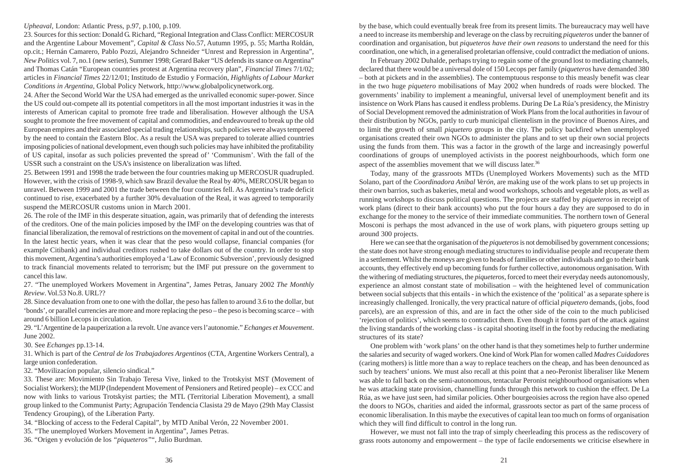# *Upheaval,* London: Atlantic Press, p.97, p.100, p.109.

23. Sources for this section: Donald G. Richard, "Regional Integration and Class Conflict: MERCOSUR and the Argentine Labour Movement", *Capital & Class* No.57, Autumn 1995, p. 55; Martha Roldán, op.cit.; Hernán Camarero, Pablo Pozzi, Alejandro Schneider "Unrest and Repression in Argentina", *New Politics* vol. 7, no.1 (new series), Summer 1998; Gerard Baker "US defends its stance on Argentina" and Thomas Catán "European countries protest at Argentina recovery plan", *Financial Times* 7/1/02; articles in *Financial Times* 22/12/01; Institudo de Estudio y Formación, *Highlights of Labour Market Conditions in Argentina,* Global Policy Network, http://www.globalpolicynetwork.org.

24. After the Second World War the USA had emerged as the unrivalled economic super-power. Since the US could out-compete all its potential competitors in all the most important industries it was in the interests of American capital to promote free trade and liberalisation. However although the USA sought to promote the free movement of capital and commodities, and endeavoured to break up the old European empires and their associated special trading relationships, such policies were always tempered by the need to contain the Eastern Bloc. As a result the USA was prepared to tolerate allied countries imposing policies of national development, even though such policies may have inhibited the profitability of US capital, insofar as such policies prevented the spread of' 'Communism'. With the fall of the USSR such a constraint on the USA's insistence on liberalization was lifted.

25. Between 1991 and 1998 the trade between the four countries making up MERCOSUR quadrupled. However, with the crisis of 1998-9, which saw Brazil devalue the Real by 40%, MERCOSUR began to unravel. Between 1999 and 2001 the trade between the four countries fell. As Argentina's trade deficit continued to rise, exacerbated by a further 30% devaluation of the Real, it was agreed to temporarily suspend the MERCOSUR customs union in March 2001.

26. The role of the IMF in this desperate situation, again, was primarily that of defending the interests of the creditors. One of the main policies imposed by the IMF on the developing countries was that of financial liberalization, the removal of restrictions on the movement of capital in and out of the countries. In the latest hectic years, when it was clear that the peso would collapse, financial companies (for example Citibank) and individual creditors rushed to take dollars out of the country. In order to stop this movement, Argentina's authorities employed a 'Law of Economic Subversion', previously designed to track financial movements related to terrorism; but the IMF put pressure on the government to cancel this law.

27. "The unemployed Workers Movement in Argentina", James Petras, January 2002 *The Monthly Review*. Vol.53 No.8. URL??

28. Since devaluation from one to one with the dollar, the peso has fallen to around 3.6 to the dollar, but 'bonds', or parallel currencies are more and more replacing the peso – the peso is becoming scarce – with around 6 billion Lecops in circulation.

29. "L'Argentine de la pauperization a la revolt. Une avance vers l'autonomie." *Echanges et Mouvement*. June 2002.

30. See *Echanges* pp.13-14.

31. Which is part of the *Central de los Trabajadores Argentinos* (CTA, Argentine Workers Central), a large union confederation.

32. "Movilizacíon popular, silencio sindical."

33. These are: Movimiento Sin Trabajo Teresa Vive, linked to the Trotskyist MST (Movement of Socialist Workers); the MIJP (Independent Movement of Pensioners and Retired people) – ex CCC and now with links to various Trotskyist parties; the MTL (Territorial Liberation Movement), a small group linked to the Communist Party; Agrupación Tendencia Clasista 29 de Mayo (29th May Classist Tendency Grouping), of the Liberation Party.

34. "Blocking of access to the Federal Capital", by MTD Anibal Verón, 22 November 2001.

35. "The unemployed Workers Movement in Argentina", James Petras.

36. "Origen y evolución de los *"piqueteros"*", Julio Burdman.

by the base, which could eventually break free from its present limits. The bureaucracy may well have a need to increase its membership and leverage on the class by recruiting *piqueteros* under the banner of coordination and organisation, but *piqueteros have their own reasons* to understand the need for this coordination, one which, in a generalised proletarian offensive, could contradict the mediation of unions.

In February 2002 Duhalde, perhaps trying to regain some of the ground lost to mediating channels, declared that there would be a universal dole of 150 Lecops per family (*piqueteros* have demanded 380 – both at pickets and in the assemblies). The contemptuous response to this measly benefit was clear in the two huge *piquetero* mobilisations of May 2002 when hundreds of roads were blocked. The governments' inability to implement a meaningful, universal level of unemployment benefit and its insistence on Work Plans has caused it endless problems. During De La Rúa's presidency, the Ministry of Social Development removed the administration of Work Plans from the local authorities in favour of their distribution by NGOs, partly to curb municipal clientelism in the province of Buenos Aires, and to limit the growth of small *piquetero* groups in the city. The policy backfired when unemployed organisations created their own NGOs to administer the plans and to set up their own social projects using the funds from them. This was a factor in the growth of the large and increasingly powerful coordinations of groups of unemployed activists in the poorest neighbourhoods, which form one aspect of the assemblies movement that we will discuss later.<sup>36</sup>

Today, many of the grassroots MTDs (Unemployed Workers Movements) such as the MTD Solano, part of the *Coordinadora Anibal Verón*, are making use of the work plans to set up projects in their own barrios, such as bakeries, metal and wood workshops, schools and vegetable plots, as well as running workshops to discuss political questions. The projects are staffed by *piqueteros* in receipt of work plans (direct to their bank accounts) who put the four hours a day they are supposed to do in exchange for the money to the service of their immediate communities. The northern town of General Mosconi is perhaps the most advanced in the use of work plans, with piquetero groups setting up around 300 projects.

Here we can see that the organisation of the *piqueteros* is not demobilised by government concessions; the state does not have strong enough mediating structures to individualise people and recuperate them in a settlement. Whilst the moneys are given to heads of families or other individuals and go to their bank accounts, they effectively end up becoming funds for further collective, autonomous organisation. With the withering of mediating structures, the *piqueteros*, forced to meet their everyday needs autonomously, experience an almost constant state of mobilisation – with the heightened level of communication between social subjects that this entails - in which the existence of the 'political' as a separate sphere is increasingly challenged. Ironically, the very practical nature of official *piquetero* demands, (jobs, food parcels), are an expression of this, and are in fact the other side of the coin to the much publicised 'rejection of politics', which seems to contradict them. Even though it forms part of the attack against the living standards of the working class - is capital shooting itself in the foot by reducing the mediating structures of its state?

One problem with 'work plans' on the other hand is that they sometimes help to further undermine the salaries and security of waged workers. One kind of Work Plan for women called *Madres Cuidadores* (caring mothers) is little more than a way to replace teachers on the cheap, and has been denounced as such by teachers' unions. We must also recall at this point that a neo-Peronist liberaliser like Menem was able to fall back on the semi-autonomous, tentacular Peronist neighbourhood organisations when he was attacking state provision, channelling funds through this network to cushion the effect. De La Rúa, as we have just seen, had similar policies. Other bourgeoisies across the region have also opened the doors to NGOs, charities and aided the informal, grassroots sector as part of the same process of economic liberalisation. In this maybe the executives of capital lean too much on forms of organisation which they will find difficult to control in the long run.

However, we must not fall into the trap of simply cheerleading this process as the rediscovery of grass roots autonomy and empowerment – the type of facile endorsements we criticise elsewhere in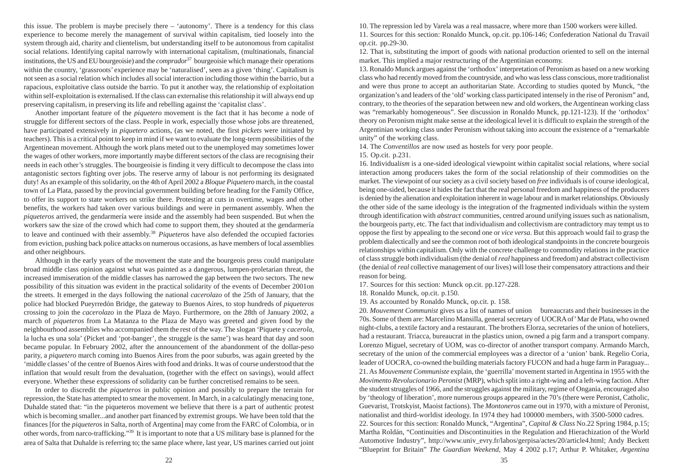this issue. The problem is maybe precisely there – 'autonomy'. There is a tendency for this class experience to become merely the management of survival within capitalism, tied loosely into the system through aid, charity and clientelism, but understanding itself to be autonomous from capitalist social relations. Identifying capital narrowly with international capitalism, (multinationals, financial institutions, the US and EU bourgeoisie) and the *comprador*<sup>37</sup> bourgeoisie which manage their operations within the country, 'grassroots' experience may be 'naturalised', seen as a given 'thing'. Capitalism is not seen as a social relation which includes all social interaction including those within the barrio, but a rapacious, exploitative class outside the barrio. To put it another way, the relationship of exploitation within self-exploitation is externalised. If the class can externalise this relationship it will always end up preserving capitalism, in preserving its life and rebelling against the 'capitalist class'.

Another important feature of the *piquetero* movement is the fact that it has become a node of struggle for different sectors of the class. People in work, especially those whose jobs are threatened, have participated extensively in *piquetero* actions, (as we noted, the first *pickets* were initiated by teachers). This is a critical point to keep in mind if we want to evaluate the long-term possibilities of the Argentinean movement. Although the work plans meted out to the unemployed may sometimes lower the wages of other workers, more importantly maybe different sectors of the class are recognising their needs in each other's struggles. The bourgeoisie is finding it very difficult to decompose the class into antagonistic sectors fighting over jobs. The reserve army of labour is not performing its designated duty! As an example of this solidarity, on the 4th of April 2002 a *Bloque Piquetero* march, in the coastal town of La Plata, passed by the provincial government building before heading for the Family Office, to offer its support to state workers on strike there. Protesting at cuts in overtime, wages and other benefits, the workers had taken over various buildings and were in permanent assembly. When the *piqueteros* arrived, the gendarmería were inside and the assembly had been suspended. But when the workers saw the size of the crowd which had come to support them, they shouted at the gendarmería to leave and continued with their assembly.<sup>38</sup> *Piqueteros* have also defended the occupied factories from eviction, pushing back police attacks on numerous occasions, as have members of local assemblies and other neighbours.

Although in the early years of the movement the state and the bourgeois press could manipulate broad middle class opinion against what was painted as a dangerous, lumpen-proletarian threat, the increased immiseration of the middle classes has narrowed the gap between the two sectors. The new possibility of this situation was evident in the practical solidarity of the events of December 2001on the streets. It emerged in the days following the national *cacerolazo* of the 25th of January, that the police had blocked Pueyrredón Bridge, the gateway to Buenos Aires, to stop hundreds of *piqueteros* crossing to join the *cacerolazo* in the Plaza de Mayo. Furthermore, on the 28th of January 2002, a march of *piqueteros* from La Matanza to the Plaza de Mayo was greeted and given food by the neighbourhood assemblies who accompanied them the rest of the way. The slogan 'Piquete y *cacerola*, la lucha es una sola' (Picket and 'pot-banger', the struggle is the same') was heard that day and soon became popular. In February 2002, after the announcement of the abandonment of the dollar-peso parity, a *piquetero* march coming into Buenos Aires from the poor suburbs, was again greeted by the 'middle classes' of the centre of Buenos Aires with food and drinks. It was of course understood that the inflation that would result from the devaluation, (together with the effect on savings), would affect everyone. Whether these expressions of solidarity can be further concretised remains to be seen.

In order to discredit the *piqueteros* in public opinion and possibly to prepare the terrain for repression, the State has attempted to smear the movement. In March, in a calculatingly menacing tone, Duhalde stated that: "in the piqueteros movement we believe that there is a part of authentic protest which is becoming smaller...and another part financed by extremist groups. We have been told that the finances [for the *piqueteros* in Salta, north of Argentina] may come from the FARC of Colombia, or in other words, from narco-trafficking."<sup>39</sup> It is important to note that a US military base is planned for the area of Salta that Duhalde is referring to; the same place where, last year, US marines carried out joint 10. The repression led by Varela was a real massacre, where more than 1500 workers were killed.

11. Sources for this section: Ronaldo Munck, op.cit. pp.106-146; Confederation National du Travail op.cit. pp.29-30.

12. That is, substituting the import of goods with national production oriented to sell on the internal market. This implied a major restructuring of the Argentinian economy.

13. Ronaldo Munck argues against the 'orthodox' interpretation of Peronism as based on a new working class who had recently moved from the countryside, and who was less class conscious, more traditionalist and were thus prone to accept an authoritarian State. According to studies quoted by Munck, "the organization's and leaders of the 'old' working class participated intensely in the rise of Peronism" and, contrary, to the theories of the separation between new and old workers, the Argentinean working class was "remarkably homogeneous". See discussion in Ronaldo Munck, pp.121-123). If the 'orthodox' theory on Peronism might make sense at the ideological level it is difficult to explain the strength of the Argentinian working class under Peronism without taking into account the existence of a "remarkable unity" of the working class.

14. The *Conventillos* are now used as hostels for very poor people.

15. Op.cit. p.231.

16. Individual*ism* is a one-sided ideological viewpoint within capitalist social relations, where social interaction among producers takes the form of the social relationship of their commodities on the market. The viewpoint of our society as a civil society based on *free* individuals is of course ideological, being one-sided, because it hides the fact that the real personal freedom and happiness of the producers is denied by the alienation and exploitation inherent in wage labour and in market relationships. Obviously the other side of the same ideology is the integration of the fragmented individuals within the system through identification with *abstract* communities, centred around unifying issues such as nationalism, the bourgeois party, etc. The fact that individualism and collectivism are contradictory may tempt us to oppose the first by appealing to the second one or *vice versa*. But this approach would fail to grasp the problem dialectically and see the common root of both ideological standpoints in the concrete bourgeois relationships within capitalism. Only with the concrete challenge to commodity relations in the practice of class struggle both individualism (the denial of *real* happiness and freedom) and abstract collectivism (the denial of *real* collective management of our lives) will lose their compensatory attractions and their reason for being.

17. Sources for this section: Munck op.cit. pp.127-228.

18. Ronaldo Munck, op.cit. p.150.

19. As accounted by Ronaldo Munck, op.cit. p. 158.

20. *Mouvement Communist* gives us a list of names of union bureaucrats and their businesses in the 70s. Some of them are: Marcelino Mansilla, general secretary of UOCRA of' Mar de Plata, who owned night-clubs, a textile factory and a restaurant. The brothers Elorza, secretaries of the union of hoteliers, had a restaurant. Triacca, bureaucrat in the plastics union, owned a pig farm and a transport company. Lorenzo Miguel, secretary of UOM, was co-director of another transport company. Armando March, secretary of the union of the commercial employees was a director of a 'union' bank. Regelio Coria, leader of UOCRA, co-owned the building materials factory FUCON and had a huge farm in Paraguay... 21.As *Mouvement Communiste* explain, the 'guerrilla' movement started in Argentina in 1955 with the *Movimento Revolucionario Peronist* (MRP), which split into a right-wing and a left-wing faction. After the student struggles of 1966, and the struggles against the military, regime of Ongania, encouraged also by 'theology of liberation', more numerous groups appeared in the 70's (there were Peronist, Catholic, Guevarist, Trotskyist, Maoist factions). The *Montoneros* came out in 1970, with a mixture of Peronist, nationalist and third-worldist ideology. In 1974 they had 100000 members, with 3500-5000 cadres. 22. Sources for this section: Ronaldo Munck, "Argentina", *Capital & Class* No.22 Spring 1984, p.15; Martha Roldán, "Continuities and Discontinuities in the Regulation and Hierachization of the World Automotive Industry", http://www.univ\_evry.fr/labos/gerpisa/actes/20/article4.html; Andy Beckett "Blueprint for Britain" *The Guardian Weekend,* May 4 2002 p.17; Arthur P. Whitaker, *Argentina*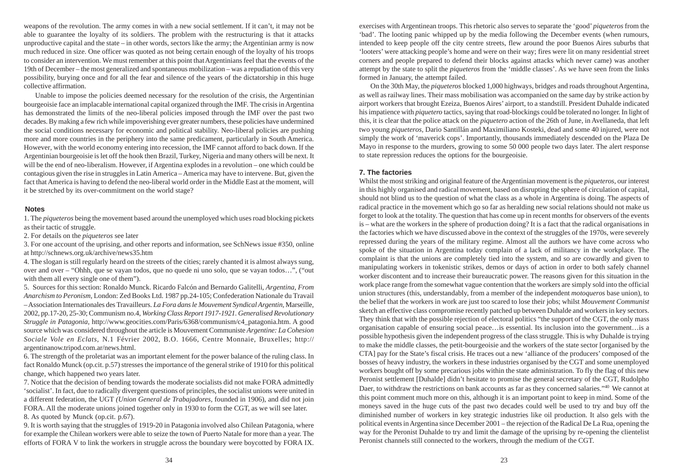weapons of the revolution. The army comes in with a new social settlement. If it can't, it may not be able to guarantee the loyalty of its soldiers. The problem with the restructuring is that it attacks unproductive capital and the state – in other words, sectors like the army; the Argentinian army is now much reduced in size. One officer was quoted as not being certain enough of the loyalty of his troops to consider an intervention. We must remember at this point that Argentinians feel that the events of the 19th of December – the most generalized and spontaneous mobilization – was a repudiation of this very possibility, burying once and for all the fear and silence of the years of the dictatorship in this huge collective affirmation.

Unable to impose the policies deemed necessary for the resolution of the crisis, the Argentinian bourgeoisie face an implacable international capital organized through the IMF. The crisis in Argentina has demonstrated the limits of the neo-liberal policies imposed through the IMF over the past two decades. By making a few rich while impoverishing ever greater numbers, these policies have undermined the social conditions necessary for economic and political stability. Neo-liberal policies are pushing more and more countries in the periphery into the same predicament, particularly in South America. However, with the world economy entering into recession, the IMF cannot afford to back down. If the Argentinian bourgeoisie is let off the hook then Brazil, Turkey, Nigeria and many others will be next. It will be the end of neo-liberalism. However, if Argentina explodes in a revolution – one which could be contagious given the rise in struggles in Latin America – America may have to intervene. But, given the fact that America is having to defend the neo-liberal world order in the Middle East at the moment, will it be stretched by its over-commitment on the world stage?

### **Notes**

1. The *piqueteros* being the movement based around the unemployed which uses road blocking pickets as their tactic of struggle.

2. For details on the *piqueteros* see later

3. For one account of the uprising, and other reports and information, see SchNews issue #350, online at http://schnews.org.uk/archive/news35.htm

4. The slogan is still regularly heard on the streets of the cities; rarely chanted it is almost always sung, over and over – "Ohhh, que se vayan todos, que no quede ni uno solo, que se vayan todos…", ("out with them all every single one of them").

5. Sources for this section: Ronaldo Munck. Ricardo Falcón and Bernardo Galitelli, *Argentina, From Anarchism to Peronism,* London: Zed Books Ltd. 1987 pp.24-105; Confederation Nationale du Travail – Association Internationales des Travailleurs. *La Fora dans le Mouvement Syndical Argentin,* Marseille, 2002, pp.17-20, 25-30; Communism no.4, *Working Class Report 1917-1921. Generalised Revolutionary Struggle in Patagonia,* http://www.geocities.com/Paris/6368/communism/c4\_patagonia.htm. A good source which was considered throughout the article is Mouvement Communiste *Argentine: La Cohesion Sociale Vole en Eclats,* N.1 Février 2002, B.O. 1666, Centre Monnaie, Bruxelles; http:// argentinanow.tripod.com.ar/news.html.

6. The strength of the proletariat was an important element for the power balance of the ruling class. In fact Ronaldo Munck (op.cit. p.57) stresses the importance of the general strike of 1910 for this political change, which happened two years later.

7. Notice that the decision of bending towards the moderate socialists did not make FORA admittedly 'socialist'. In fact, due to radically divergent questions of principles, the socialist unions were united in a different federation, the UGT *(Union General de Trabajadores,* founded in 1906), and did not join FORA. All the moderate unions joined together only in 1930 to form the CGT, as we will see later. 8. As quoted by Munck (op.cit. p.67).

9. It is worth saying that the struggles of 1919-20 in Patagonia involved also Chilean Patagonia, where for example the Chilean workers were able to seize the town of Puerto Natale for more than a year. The efforts of FORA V to link the workers in struggle across the boundary were boycotted by FORA IX.

exercises with Argentinean troops. This rhetoric also serves to separate the 'good' *piqueteros* from the 'bad'. The looting panic whipped up by the media following the December events (when rumours, intended to keep people off the city centre streets, flew around the poor Buenos Aires suburbs that 'looters' were attacking people's home and were on their way; fires were lit on many residential street corners and people prepared to defend their blocks against attacks which never came) was another attempt by the state to split the *piqueteros* from the 'middle classes'. As we have seen from the links formed in January, the attempt failed.

On the 30th May, the *piqueteros* blocked 1,000 highways, bridges and roads throughout Argentina, as well as railway lines. Their mass mobilisation was accompanied on the same day by strike action by airport workers that brought Ezeiza, Buenos Aires' airport, to a standstill. President Duhalde indicated his impatience with *piquetero* tactics, saying that road-blockings could be tolerated no longer. In light of this, it is clear that the police attack on the *piquetero* action of the 26th of June, in Avellaneda, that left two young *piqueteros,* Dario Santillán and Maximiliano Kosteki, dead and some 40 injured, were not simply the work of 'maverick cops'. Importantly, thousands immediately descended on the Plaza De Mayo in response to the murders, growing to some 50 000 people two days later. The alert response to state repression reduces the options for the bourgeoisie.

# **7. The factories**

Whilst the most striking and original feature of the Argentinian movement is the *piqueteros*, our interest in this highly organised and radical movement, based on disrupting the sphere of circulation of capital, should not blind us to the question of what the class as a whole in Argentina is doing. The aspects of radical practice in the movement which go so far as heralding new social relations should not make us forget to look at the totality. The question that has come up in recent months for observers of the events is – what are the workers in the sphere of production doing? It is a fact that the radical organisations in the factories which we have discussed above in the context of the struggles of the 1970s, were severely repressed during the years of the military regime. Almost all the authors we have come across who spoke of the situation in Argentina today complain of a lack of militancy in the workplace. The complaint is that the unions are completely tied into the system, and so are cowardly and given to manipulating workers in tokenistic strikes, demos or days of action in order to both safely channel worker discontent and to increase their bureaucratic power. The reasons given for this situation in the work place range from the somewhat vague contention that the workers are simply sold into the official union structures (this, understandably, from a member of the independent *motoqueros* base union), to the belief that the workers in work are just too scared to lose their jobs; whilst *Mouvement Communist* sketch an effective class compromise recently patched up between Duhalde and workers in key sectors. They think that with the possible rejection of electoral politics "the support of the CGT, the only mass organisation capable of ensuring social peace…is essential. Its inclusion into the government…is a possible hypothesis given the independent progress of the class struggle. This is why Duhalde is trying to make the middle classes, the petit-bourgeoisie and the workers of the state sector [organised by the CTA] pay for the State's fiscal crisis. He traces out a new 'alliance of the producers' composed of the bosses of heavy industry, the workers in these industries organised by the CGT and some unemployed workers bought off by some precarious jobs within the state administration. To fly the flag of this new Peronist settlement [Duhalde] didn't hesitate to promise the general secretary of the CGT, Rudolpho Daer, to withdraw the restrictions on bank accounts as far as they concerned salaries."<sup>40</sup> We cannot at this point comment much more on this, although it is an important point to keep in mind. Some of the moneys saved in the huge cuts of the past two decades could well be used to try and buy off the diminished number of workers in key strategic industries like oil production. It also gels with the political events in Argentina since December 2001 – the rejection of the Radical De La Rua, opening the way for the Peronist Duhalde to try and limit the damage of the uprising by re-opening the clientelist Peronist channels still connected to the workers, through the medium of the CGT.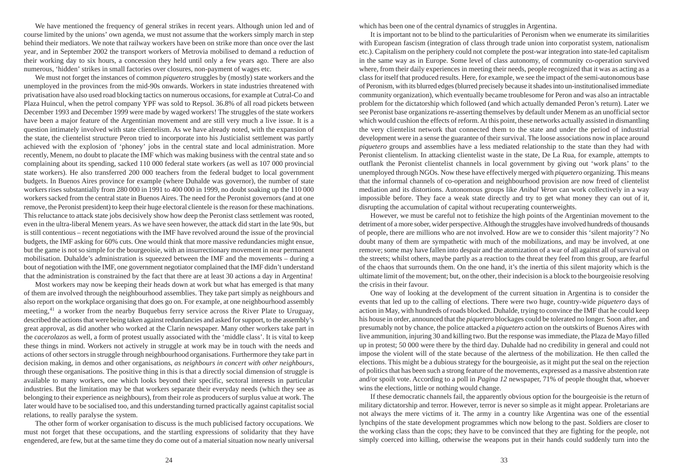We have mentioned the frequency of general strikes in recent years. Although union led and of course limited by the unions' own agenda, we must not assume that the workers simply march in step behind their mediators. We note that railway workers have been on strike more than once over the last year, and in September 2002 the transport workers of Metrovia mobilised to demand a reduction of their working day to six hours, a concession they held until only a few years ago. There are also numerous, 'hidden' strikes in small factories over closures, non-payment of wages etc.

We must not forget the instances of common *piquetero* struggles by (mostly) state workers and the unemployed in the provinces from the mid-90s onwards. Workers in state industries threatened with privatisation have also used road blocking tactics on numerous occasions, for example at Cutral-Co and Plaza Huincul, when the petrol company YPF was sold to Repsol. 36.8% of all road pickets between December 1993 and December 1999 were made by waged workers! The struggles of the state workers have been a major feature of the Argentinian movement and are still very much a live issue. It is a question intimately involved with state clientelism. As we have already noted, with the expansion of the state, the clientelist structure Peron tried to incorporate into his Justicialist settlement was partly achieved with the explosion of 'phoney' jobs in the central state and local administration. More recently, Menem, no doubt to placate the IMF which was making business with the central state and so complaining about its spending, sacked 110 000 federal state workers (as well as 107 000 provincial state workers). He also transferred 200 000 teachers from the federal budget to local government budgets. In Buenos Aires province for example (where Duhalde was governor), the number of state workers rises substantially from 280 000 in 1991 to 400 000 in 1999, no doubt soaking up the 110 000 workers sacked from the central state in Buenos Aires. The need for the Peronist governors (and at one remove, the Peronist president) to keep their huge electoral clientele is the reason for these machinations. This reluctance to attack state jobs decisively show how deep the Peronist class settlement was rooted, even in the ultra-liberal Menem years. As we have seen however, the attack did start in the late 90s, but is still contentious – recent negotiations with the IMF have revolved around the issue of the provincial budgets, the IMF asking for 60% cuts. One would think that more massive redundancies might ensue, but the game is not so simple for the bourgeoisie, with an insurrectionary movement in near permanent mobilisation. Duhalde's administration is squeezed between the IMF and the movements – during a bout of negotiation with the IMF, one government negotiator complained that the IMF didn't understand that the administration is constrained by the fact that there are at least 30 actions a day in Argentina!

Most workers may now be keeping their heads down at work but what has emerged is that many of them are involved through the neighbourhood assemblies. They take part simply as neighbours and also report on the workplace organising that does go on. For example, at one neighbourhood assembly meeting,<sup>41</sup> a worker from the nearby Buquebus ferry service across the River Plate to Uruguay, described the actions that were being taken against redundancies and asked for support, to the assembly's great approval, as did another who worked at the Clarín newspaper. Many other workers take part in the *cacerolazos* as well, a form of protest usually associated with the 'middle class'. It is vital to keep these things in mind. Workers not actively in struggle at work may be in touch with the needs and actions of other sectors in struggle through neighbourhood organisations. Furthermore they take part in decision making, in demos and other organisations, *as neighbours in concert with other neighbours*, through these organisations. The positive thing in this is that a directly social dimension of struggle is available to many workers, one which looks beyond their specific, sectoral interests in particular industries. But the limitation may be that workers separate their everyday needs (which they see as belonging to their experience as neighbours), from their role as producers of surplus value at work. The later would have to be socialised too, and this understanding turned practically against capitalist social relations, to really paralyse the system.

The other form of worker organisation to discuss is the much publicised factory occupations. We must not forget that these occupations, and the startling expressions of solidarity that they have engendered, are few, but at the same time they do come out of a material situation now nearly universal which has been one of the central dynamics of struggles in Argentina.

It is important not to be blind to the particularities of Peronism when we enumerate its similarities with European fascism (integration of class through trade union into corporatist system, nationalism etc.). Capitalism on the periphery could not complete the post-war integration into state-led capitalism in the same way as in Europe. Some level of class autonomy, of community co-operation survived where, from their daily experiences in meeting their needs, people recognized that it was as acting as a class for itself that produced results. Here, for example, we see the impact of the semi-autonomous base of Peronism, with its blurred edges (blurred precisely because it shades into un-institutionalised immediate community organization), which eventually became troublesome for Peron and was also an intractable problem for the dictatorship which followed (and which actually demanded Peron's return). Later we see Peronist base organizations re-asserting themselves by default under Menem as an unofficial sector which would cushion the effects of reform. At this point, these networks actually assisted in dismantling the very clientelist network that connected them to the state and under the period of industrial development were in a sense the guarantee of their survival. The loose associations now in place around *piquetero* groups and assemblies have a less mediated relationship to the state than they had with Peronist clientelism. In attacking clientelist waste in the state, De La Rua, for example, attempts to outflank the Peronist clientelist channels in local government by giving out 'work plans' to the unemployed through NGOs. Now these have effectively merged with *piquetero* organizing. This means that the informal channels of co-operation and neighbourhood provision are now freed of clientelist mediation and its distortions. Autonomous groups like *Anibal Veron* can work collectively in a way impossible before. They face a weak state directly and try to get what money they can out of it, disrupting the accumulation of capital without recuperating counterweights.

However, we must be careful not to fetishize the high points of the Argentinian movement to the detriment of a more sober, wider perspective. Although the struggles have involved hundreds of thousands of people, there are millions who are not involved. How are we to consider this 'silent majority'? No doubt many of them are sympathetic with much of the mobilizations, and may be involved, at one remove; some may have fallen into despair and the atomization of a war of all against all of survival on the streets; whilst others, maybe partly as a reaction to the threat they feel from this group, are fearful of the chaos that surrounds them. On the one hand, it's the inertia of this silent majority which is the ultimate limit of the movement; but, on the other, their indecision is a block to the bourgeoisie resolving the crisis in their favour.

One way of looking at the development of the current situation in Argentina is to consider the events that led up to the calling of elections. There were two huge, country-wide *piquetero* days of action in May, with hundreds of roads blocked. Duhalde, trying to convince the IMF that he could keep his house in order, announced that the *piquetero* blockages could be tolerated no longer. Soon after, and presumably not by chance, the police attacked a *piquetero* action on the outskirts of Buenos Aires with live ammunition, injuring 30 and killing two. But the response was immediate, the Plaza de Mayo filled up in protest; 50 000 were there by the third day. Duhalde had no credibility in general and could not impose the violent will of the state because of the alertness of the mobilization. He then called the elections. This might be a dubious strategy for the bourgeoisie, as it might put the seal on the rejection of politics that has been such a strong feature of the movements, expressed as a massive abstention rate and/or spoilt vote. According to a poll in *Pagina 12* newspaper, 71% of people thought that, whoever wins the elections, little or nothing would change.

If these democratic channels fail, the apparently obvious option for the bourgeoisie is the return of military dictatorship and terror. However, terror is never so simple as it might appear. Proletarians are not always the mere victims of it. The army in a country like Argentina was one of the essential lynchpins of the state development programmes which now belong to the past. Soldiers are closer to the working class than the cops; they have to be convinced that they are fighting for the people, not simply coerced into killing, otherwise the weapons put in their hands could suddenly turn into the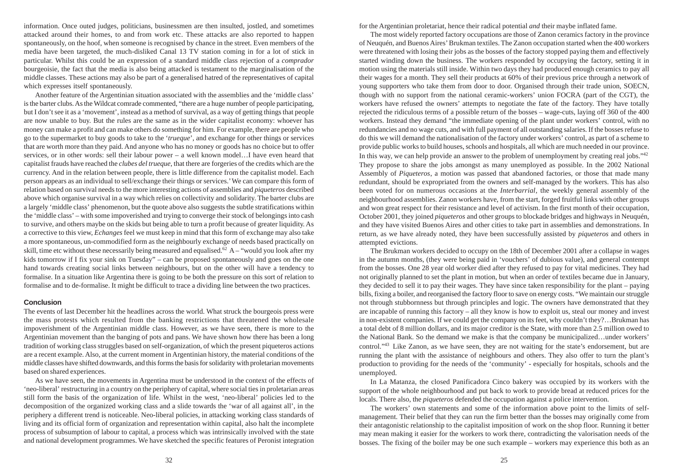information. Once outed judges, politicians, businessmen are then insulted, jostled, and sometimes attacked around their homes, to and from work etc. These attacks are also reported to happen spontaneously, on the hoof, when someone is recognised by chance in the street. Even members of the media have been targeted, the much-disliked Canal 13 TV station coming in for a lot of stick in particular. Whilst this could be an expression of a standard middle class rejection of a *comprador* bourgeoisie, the fact that the media is also being attacked is testament to the marginalisation of the middle classes. These actions may also be part of a generalised hatred of the representatives of capital which expresses itself spontaneously.

Another feature of the Argentinian situation associated with the assemblies and the 'middle class' is the barter clubs. As the Wildcat comrade commented, "there are a huge number of people participating, but I don't see it as a 'movement', instead as a method of survival, as a way of getting things that people are now unable to buy. But the rules are the same as in the wider capitalist economy: whoever has money can make a profit and can make others do something for him. For example, there are people who go to the supermarket to buy goods to take to the '*trueque*', and exchange for other things or services that are worth more than they paid. And anyone who has no money or goods has no choice but to offer services, or in other words: sell their labour power – a well known model…I have even heard that capitalist frauds have reached the *clubes del trueque*, that there are forgeries of the credits which are the currency. And in the relation between people, there is little difference from the capitalist model. Each person appears as an individual to sell/exchange their things or services.' We can compare this form of relation based on survival needs to the more interesting actions of assemblies and *piqueteros* described above which organise survival in a way which relies on collectivity and solidarity. The barter clubs are a largely 'middle class' phenomenon, but the quote above also suggests the subtle stratifications within the 'middle class' – with some impoverished and trying to converge their stock of belongings into cash to survive, and others maybe on the skids but being able to turn a profit because of greater liquidity. As a corrective to this view, *Echanges* feel we must keep in mind that this form of exchange may also take a more spontaneous, un-commodified form as the neighbourly exchange of needs based practically on skill, time etc without these necessarily being measured and equalised.<sup>62</sup> A – "would you look after my kids tomorrow if I fix your sink on Tuesday" – can be proposed spontaneously and goes on the one hand towards creating social links between neighbours, but on the other will have a tendency to formalise. In a situation like Argentina there is going to be both the pressure on this sort of relation to formalise and to de-formalise. It might be difficult to trace a dividing line between the two practices.

### **Conclusion**

The events of last December hit the headlines across the world. What struck the bourgeois press were the mass protests which resulted from the banking restrictions that threatened the wholesale impoverishment of the Argentinian middle class. However, as we have seen, there is more to the Argentinian movement than the banging of pots and pans. We have shown how there has been a long tradition of working class struggles based on self-organization, of which the present piqueteros actions are a recent example. Also, at the current moment in Argentinian history, the material conditions of the middle classes have shifted downwards, and this forms the basis for solidarity with proletarian movements based on shared experiences.

As we have seen, the movements in Argentina must be understood in the context of the effects of 'neo-liberal' restructuring in a country on the periphery of capital, where social ties in proletarian areas still form the basis of the organization of life. Whilst in the west, 'neo-liberal' policies led to the decomposition of the organized working class and a slide towards the 'war of all against all', in the periphery a different trend is noticeable. Neo-liberal policies, in attacking working class standards of living and its official form of organization and representation within capital, also halt the incomplete process of subsumption of labour to capital, a process which was intrinsically involved with the state and national development programmes. We have sketched the specific features of Peronist integration for the Argentinian proletariat, hence their radical potential *and* their maybe inflated fame.

The most widely reported factory occupations are those of Zanon ceramics factory in the province of Neuquén, and Buenos Aires' Brukman textiles. The Zanon occupation started when the 400 workers were threatened with losing their jobs as the bosses of the factory stopped paying them and effectively started winding down the business. The workers responded by occupying the factory, setting it in motion using the materials still inside. Within two days they had produced enough ceramics to pay all their wages for a month. They sell their products at 60% of their previous price through a network of young supporters who take them from door to door. Organised through their trade union, SOECN, though with no support from the national ceramic-workers' union FOCRA (part of the CGT), the workers have refused the owners' attempts to negotiate the fate of the factory. They have totally rejected the ridiculous terms of a possible return of the bosses – wage-cuts, laying off 360 of the 400 workers. Instead they demand "the immediate opening of the plant under workers' control, with no redundancies and no wage cuts, and with full payment of all outstanding salaries. If the bosses refuse to do this we will demand the nationalisation of the factory under workers' control, as part of a scheme to provide public works to build houses, schools and hospitals, all which are much needed in our province. In this way, we can help provide an answer to the problem of unemployment by creating real jobs."<sup>42</sup> They propose to share the jobs amongst as many unemployed as possible. In the 2002 National Assembly of *Piqueteros*, a motion was passed that abandoned factories, or those that made many redundant, should be expropriated from the owners and self-managed by the workers. This has also been voted for on numerous occasions at the *Interbarrial*, the weekly general assembly of the neighbourhood assemblies. Zanon workers have, from the start, forged fruitful links with other groups and won great respect for their resistance and level of activism. In the first month of their occupation, October 2001, they joined *piqueteros* and other groups to blockade bridges and highways in Neuquén, and they have visited Buenos Aires and other cities to take part in assemblies and demonstrations. In return, as we have already noted, they have been successfully assisted by *piqueteros* and others in attempted evictions.

The Brukman workers decided to occupy on the 18th of December 2001 after a collapse in wages in the autumn months, (they were being paid in 'vouchers' of dubious value), and general contempt from the bosses. One 28 year old worker died after they refused to pay for vital medicines. They had not originally planned to set the plant in motion, but when an order of textiles became due in January, they decided to sell it to pay their wages. They have since taken responsibility for the plant – paying bills, fixing a boiler, and reorganised the factory floor to save on energy costs. "We maintain our struggle not through stubbornness but through principles and logic. The owners have demonstrated that they are incapable of running this factory – all they know is how to exploit us, steal our money and invest in non-existent companies. If we could get the company on its feet, why couldn't they?…Brukman has a total debt of 8 million dollars, and its major creditor is the State, with more than 2.5 million owed to the National Bank. So the demand we make is that the company be municipalized…under workers' control."<sup>43</sup> Like Zanon, as we have seen, they are not waiting for the state's endorsement, but are running the plant with the assistance of neighbours and others. They also offer to turn the plant's production to providing for the needs of the 'community' - especially for hospitals, schools and the unemployed.

In La Matanza, the closed Panificadora Cinco bakery was occupied by its workers with the support of the whole neighbourhood and put back to work to provide bread at reduced prices for the locals. There also, the *piqueteros* defended the occupation against a police intervention.

The workers' own statements and some of the information above point to the limits of selfmanagement. Their belief that they can run the firm better than the bosses may originally come from their antagonistic relationship to the capitalist imposition of work on the shop floor. Running it better may mean making it easier for the workers to work there, contradicting the valorisation needs of the bosses. The fixing of the boiler may be one such example – workers may experience this both as an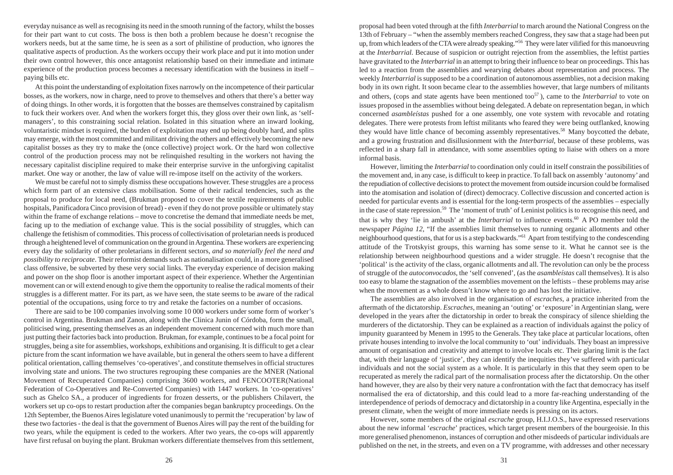everyday nuisance as well as recognising its need in the smooth running of the factory, whilst the bosses for their part want to cut costs. The boss is then both a problem because he doesn't recognise the workers needs, but at the same time, he is seen as a sort of philistine of production, who ignores the qualitative aspects of production. As the workers occupy their work place and put it into motion under their own control however, this once antagonist relationship based on their immediate and intimate experience of the production process becomes a necessary identification with the business in itself – paying bills etc.

At this point the understanding of exploitation fixes narrowly on the incompetence of their particular bosses, as the workers, now in charge, need to prove to themselves and others that there's a better way of doing things. In other words, it is forgotten that the bosses are themselves constrained by capitalism to fuck their workers over. And when the workers forget this, they gloss over their own link, as 'selfmanagers', to this constraining social relation. Isolated in this situation where an inward looking, voluntaristic mindset is required, the burden of exploitation may end up being doubly hard, and splits may emerge, with the most committed and militant driving the others and effectively becoming the new capitalist bosses as they try to make the (once collective) project work. Or the hard won collective control of the production process may not be relinquished resulting in the workers not having the necessary capitalist discipline required to make their enterprise survive in the unforgiving capitalist market. One way or another, the law of value will re-impose itself on the activity of the workers.

We must be careful not to simply dismiss these occupations however. These struggles are a process which form part of an extensive class mobilisation. Some of their radical tendencies, such as the proposal to produce for local need, (Brukman proposed to cover the textile requirements of public hospitals, Panificadora Cinco provision of bread) - even if they do not prove possible or ultimately stay within the frame of exchange relations – move to concretise the demand that immediate needs be met, facing up to the mediation of exchange value. This is the social possibility of struggles, which can challenge the fetishism of commodities. This process of collectivisation of proletarian needs is produced through a heightened level of communication on the ground in Argentina. These workers are experiencing every day the solidarity of other proletarians in different sectors, *and so materially feel the need and possibility to reciprocate*. Their reformist demands such as nationalisation could, in a more generalised class offensive, be subverted by these very social links. The everyday experience of decision making and power on the shop floor is another important aspect of their experience. Whether the Argentinian movement can or will extend enough to give them the opportunity to realise the radical moments of their struggles is a different matter. For its part, as we have seen, the state seems to be aware of the radical potential of the occupations, using force to try and retake the factories on a number of occasions.

There are said to be 100 companies involving some 10 000 workers under some form of worker's control in Argentina. Brukman and Zanon, along with the Clinica Junin of Córdoba, form the small, politicised wing, presenting themselves as an independent movement concerned with much more than just putting their factories back into production. Brukman, for example, continues to be a focal point for struggles, being a site for assemblies, workshops, exhibitions and organising. It is difficult to get a clear picture from the scant information we have available, but in general the others seem to have a different political orientation, calling themselves 'co-operatives', and constitute themselves in official structures involving state and unions. The two structures regrouping these companies are the MNER (National Movement of Recuperated Companies) comprising 3600 workers, and FENCOOTER(National Federation of Co-Operatives and Re-Converted Companies) with 1447 workers. In 'co-operatives' such as Ghelco SA., a producer of ingredients for frozen desserts, or the publishers Chilavert, the workers set up co-ops to restart production after the companies began bankruptcy proceedings. On the 12th September, the Buenos Aires legislature voted unanimously to permit the 'recuperation' by law of these two factories - the deal is that the government of Buenos Aires will pay the rent of the building for two years, while the equipment is ceded to the workers. After two years, the co-ops will apparently have first refusal on buying the plant. Brukman workers differentiate themselves from this settlement, proposal had been voted through at the fifth *Interbarrial* to march around the National Congress on the 13th of February – "when the assembly members reached Congress, they saw that a stage had been put up, from which leaders of the CTA were already speaking."<sup>56</sup> They were later vilified for this manoeuvring at the *Interbarrial*. Because of suspicion or outright rejection from the assemblies, the leftist parties have gravitated to the *Interbarrial* in an attempt to bring their influence to bear on proceedings. This has led to a reaction from the assemblies and wearying debates about representation and process. The weekly *Interbarrial* is supposed to be a coordination of autonomous assemblies, not a decision making body in its own right. It soon became clear to the assemblies however, that large numbers of militants and others, (cops and state agents have been mentioned too<sup>57</sup>), came to the *Interbarrial* to vote on issues proposed in the assemblies without being delegated. A debate on representation began, in which concerned *asambleístas* pushed for a one assembly, one vote system with revocable and rotating delegates. There were protests from leftist militants who feared they were being outflanked, knowing they would have little chance of becoming assembly representatives.<sup>58</sup> Many boycotted the debate, and a growing frustration and disillusionment with the *Interbarrial*, because of these problems, was reflected in a sharp fall in attendance, with some assemblies opting to liaise with others on a more informal basis.

However, limiting the *Interbarrial* to coordination only could in itself constrain the possibilities of the movement and, in any case, is difficult to keep in practice. To fall back on assembly 'autonomy' and the repudiation of collective decisions to protect the movement from outside incursion could be formalised into the atomisation and isolation of (direct) democracy. Collective discussion and concerted action is needed for particular events and is essential for the long-term prospects of the assemblies – especially in the case of state repression.<sup>59</sup> The 'moment of truth' of Leninist politics is to recognise this need, and that is why they 'lie in ambush' at the *Interbarrial* to influence events.<sup>60</sup> A PO member told the newspaper *Página 12*, "If the assemblies limit themselves to running organic allotments and other neighbourhood questions, that for us is a step backwards."<sup>61</sup> Apart from testifying to the condescending attitude of the Trotskyist groups, this warning has some sense to it. What he cannot see is the relationship between neighbourhood questions and a wider struggle. He doesn't recognise that the 'political' is the activity of the class, organic allotments and all. The revolution can only be the process of struggle of the *autoconvocados*, the 'self convened', (as the *asambleístas* call themselves). It is also too easy to blame the stagnation of the assemblies movement on the leftists – these problems may arise when the movement as a whole doesn't know where to go and has lost the initiative.

The assemblies are also involved in the organisation of *escraches*, a practice inherited from the aftermath of the dictatorship. *Escraches*, meaning an 'outing' or 'exposure' in Argentinian slang, were developed in the years after the dictatorship in order to break the conspiracy of silence shielding the murderers of the dictatorship. They can be explained as a reaction of individuals against the policy of impunity guaranteed by Menem in 1995 to the Generals. They take place at particular locations, often private houses intending to involve the local community to 'out' individuals. They boast an impressive amount of organisation and creativity and attempt to involve locals etc. Their glaring limit is the fact that, with their language of 'justice', they can identify the inequities they've suffered with particular individuals and not the social system as a whole. It is particularly in this that they seem open to be recuperated as merely the radical part of the normalisation process after the dictatorship. On the other hand however, they are also by their very nature a confrontation with the fact that democracy has itself normalised the era of dictatorship, and this could lead to a more far-reaching understanding of the interdependence of periods of democracy and dictatorship in a country like Argentina, especially in the present climate, when the weight of more immediate needs is pressing on its actors.

However, some members of the original *escrache* group, H.I.J.O.S., have expressed reservations about the new informal '*escrache*' practices, which target present members of the bourgeoisie. In this more generalised phenomenon, instances of corruption and other misdeeds of particular individuals are published on the net, in the streets, and even on a TV programme, with addresses and other necessary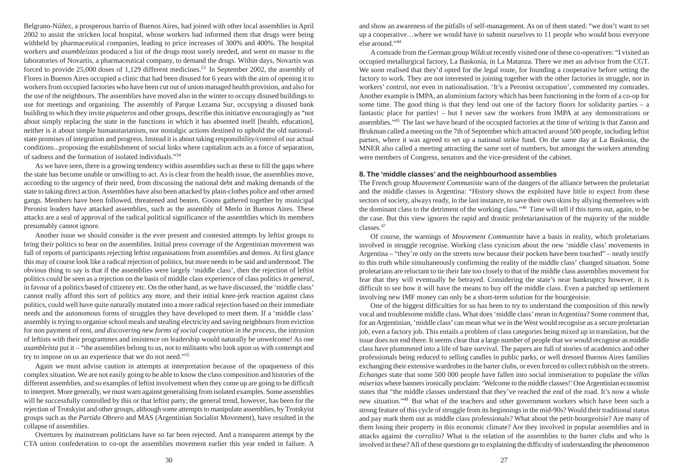Belgrano-Núñez, a prosperous barrio of Buenos Aires, had joined with other local assemblies in April 2002 to assist the stricken local hospital, whose workers had informed them that drugs were being withheld by pharmaceutical companies, leading to price increases of 300% and 400%. The hospital workers and *asambleístas* produced a list of the drugs most sorely needed, and went en masse to the laboratories of Novartis, a pharmaceutical company, to demand the drugs. Within days, Novartis was forced to provide 25,000 doses of 1,129 different medicines.<sup>53</sup> In September 2002, the assembly of Flores in Buenos Aires occupied a clinic that had been disused for 6 years with the aim of opening it to workers from occupied factories who have been cut out of union managed health provision, and also for the use of the neighbours. The assemblies have moved also in the winter to occupy disused buildings to use for meetings and organising. The assembly of Parque Lezama Sur, occupying a disused bank building to which they invite *piqueteros* and other groups, describe this initiative encouragingly as "not about simply replacing the state in the functions in which it has absented itself [health, education], neither is it about simple humanitarianism, nor nostalgic actions destined to uphold the old nationalstate promises of integration and progress. Instead it is about taking responsibility/control of our actual conditions...proposing the establishment of social links where capitalism acts as a force of separation, of sadness and the formation of isolated individuals."<sup>54</sup>

As we have seen, there is a growing tendency within assemblies such as these to fill the gaps where the state has become unable or unwilling to act. As is clear from the health issue, the assemblies move, according to the urgency of their need, from discussing the national debt and making demands of the state to taking direct action. Assemblies have also been attacked by plain-clothes police and other armed gangs. Members have been followed, threatened and beaten. Goons gathered together by municipal Peronist leaders have attacked assemblies, such as the assembly of Merlo in Buenos Aires. These attacks are a seal of approval of the radical political significance of the assemblies which its members presumably cannot ignore.

Another issue we should consider is the ever present and contested attempts by leftist groups to bring their politics to bear on the assemblies. Initial press coverage of the Argentinian movement was full of reports of participants rejecting leftist organisations from assemblies and demos. At first glance this may of course look like a radical rejection of politics, but more needs to be said and understood. The obvious thing to say is that if the assemblies were largely 'middle class', then the rejection of leftist politics could be seen as a rejection on the basis of middle class experience of class politics *in general*, in favour of a politics based of citizenry etc. On the other hand, as we have discussed, the 'middle class' cannot really afford this sort of politics any more, and their initial knee-jerk reaction against class politics, could well have quite naturally mutated into a more radical rejection based on their immediate needs and the autonomous forms of struggles they have developed to meet them. If a 'middle class' assembly is trying to organise school meals and stealing electricity and saving neighbours from eviction for non payment of rent, *and discovering new forms of social cooperation in the process*, the intrusion of leftists with their programmes and insistence on leadership would naturally be unwelcome! As one *asambleísta* put it – "the assemblies belong to us, not to militants who look upon us with contempt and try to impose on us an experience that we do not need."<sup>55</sup>

Again we must advise caution in attempts at interpretation because of the opaqueness of this complex situation. We are not easily going to be able to know the class composition and histories of the different assemblies, and so examples of leftist involvement when they come up are going to be difficult to interpret. More generally, we must warn against generalising from isolated examples. Some assemblies will be successfully controlled by this or that leftist party; the general trend, however, has been for the rejection of Trotskyist and other groups, although some attempts to manipulate assemblies, by Trotskyist groups such as the *Partido Obrero* and MAS (Argentinian Socialist Movement), have resulted in the collapse of assemblies.

Overtures by mainstream politicians have so far been rejected. And a transparent attempt by the CTA union confederation to co-opt the assemblies movement earlier this year ended in failure. A and show an awareness of the pitfalls of self-management. As on of them stated: "we don't want to set up a cooperative…where we would have to submit ourselves to 11 people who would boss everyone else around."<sup>44</sup>

A comrade from the German group *Wildcat* recently visited one of these co-operatives: "I visited an occupied metallurgical factory, La Baskonia, in La Matanza. There we met an advisor from the CGT. We soon realised that they'd opted for the legal route, for founding a cooperative before setting the factory to work. They are not interested in joining together with the other factories in struggle, nor in workers' control, nor even in nationalisation. 'It's a Peronist occupation', commented my comrades. Another example is IMPA, an aluminium factory which has been functioning in the form of a co-op for some time. The good thing is that they lend out one of the factory floors for solidarity parties – a fantastic place for parties! – but I never saw the workers from IMPA at any demonstrations or assemblies."<sup>45</sup> The last we have heard of the occupied factories at the time of writing is that Zanon and Brukman called a meeting on the 7th of September which attracted around 500 people, including leftist parties, where it was agreed to set up a national strike fund. On the same day at La Baskonia, the MNER also called a meeting attracting the same sort of numbers, but amongst the workers attending were members of Congress, senators and the vice-president of the cabinet.

# **8. The 'middle classes' and the neighbourhood assemblies**

The French group *Mouvement Communiste* warn of the dangers of the alliance between the proletariat and the middle classes in Argentina: "History shows the exploited have little to expect from these sectors of society, always ready, in the last instance, to save their own skins by allying themselves with the dominant class to the detriment of the working class."<sup>46</sup> Time will tell if this turns out, again, to be the case. But this view ignores the rapid and drastic proletarianisation of the majority of the middle classes.<sup>47</sup>

Of course, the warnings of *Mouvement Communiste* have a basis in reality, which proletarians involved in struggle recognise. Working class cynicism about the new 'middle class' movements in Argentina – "they're only on the streets now because their pockets have been touched" – neatly testify to this truth while simultaneously confirming the reality of the middle class' changed situation. Some proletarians are reluctant to tie their fate too closely to that of the middle class assemblies movement for fear that they will eventually be betrayed. Considering the state's near bankruptcy however, it is difficult to see how it will have the means to buy off the middle class. Even a patched up settlement involving new IMF money can only be a short-term solution for the bourgeoisie.

One of the biggest difficulties for us has been to try to understand the composition of this newly vocal and troublesome middle class. What does 'middle class' mean in Argentina? Some comment that, for an Argentinian, 'middle class' can mean what we in the West would recognise as a secure proletarian job, even a factory job. This entails a problem of class categories being mixed up in translation, but the issue does not end there. It seems clear that a large number of people that we would recognise as middle class have plummeted into a life of bare survival. The papers are full of stories of academics and other professionals being reduced to selling candles in public parks, or well dressed Buenos Aires families exchanging their extensive wardrobes in the barter clubs, or even forced to collect rubbish on the streets. *Echanges* state that some 500 000 people have fallen into social immiseration to populate the *villas miserias* where banners ironically proclaim: 'Welcome to the middle classes!' One Argentinian economist states that "the middle classes understand that they've reached the end of the road. It's now a whole new situation."<sup>48</sup> But what of the teachers and other government workers which have been such a strong feature of this cycle of struggle from its beginnings in the mid-90s? Would their traditional status and pay mark them out as middle class professionals? What about the petit-bourgeoisie? Are many of them losing their property in this economic climate? Are they involved in popular assemblies and in attacks against the *corralito*? What is the relation of the assemblies to the barter clubs and who is involved in these? All of these questions go to explaining the difficulty of understanding the phenomenon